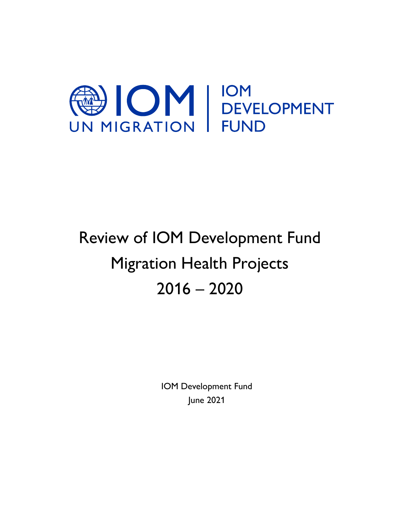

# Review of IOM Development Fund Migration Health Projects 2016 – 2020

IOM Development Fund June 2021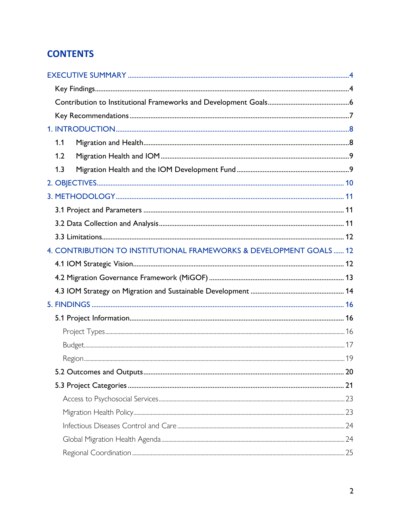# **CONTENTS**

| 1.1                                                                |  |
|--------------------------------------------------------------------|--|
| 1.2                                                                |  |
| 1.3                                                                |  |
|                                                                    |  |
|                                                                    |  |
|                                                                    |  |
|                                                                    |  |
|                                                                    |  |
| 4. CONTRIBUTION TO INSTITUTIONAL FRAMEWORKS & DEVELOPMENT GOALS 12 |  |
|                                                                    |  |
|                                                                    |  |
|                                                                    |  |
|                                                                    |  |
|                                                                    |  |
|                                                                    |  |
|                                                                    |  |
|                                                                    |  |
|                                                                    |  |
|                                                                    |  |
|                                                                    |  |
|                                                                    |  |
|                                                                    |  |
|                                                                    |  |
|                                                                    |  |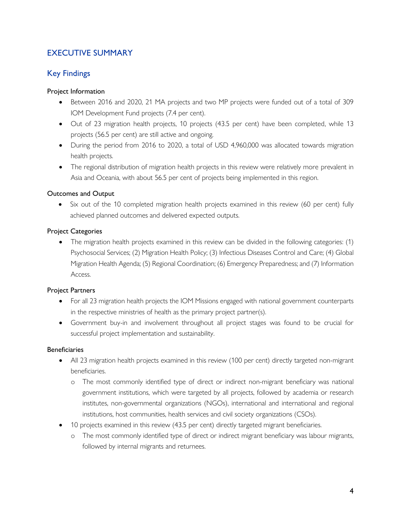# <span id="page-3-0"></span>EXECUTIVE SUMMARY

# <span id="page-3-1"></span>Key Findings

#### Project Information

- Between 2016 and 2020, 21 MA projects and two MP projects were funded out of a total of 309 IOM Development Fund projects (7.4 per cent).
- Out of 23 migration health projects, 10 projects (43.5 per cent) have been completed, while 13 projects (56.5 per cent) are still active and ongoing.
- During the period from 2016 to 2020, a total of USD 4,960,000 was allocated towards migration health projects.
- The regional distribution of migration health projects in this review were relatively more prevalent in Asia and Oceania, with about 56.5 per cent of projects being implemented in this region.

# Outcomes and Output

• Six out of the 10 completed migration health projects examined in this review (60 per cent) fully achieved planned outcomes and delivered expected outputs.

# Project Categories

• The migration health projects examined in this review can be divided in the following categories: (1) Psychosocial Services; (2) Migration Health Policy; (3) Infectious Diseases Control and Care; (4) Global Migration Health Agenda; (5) Regional Coordination; (6) Emergency Preparedness; and (7) Information Access.

#### Project Partners

- For all 23 migration health projects the IOM Missions engaged with national government counterparts in the respective ministries of health as the primary project partner(s).
- Government buy-in and involvement throughout all project stages was found to be crucial for successful project implementation and sustainability.

#### Beneficiaries

- All 23 migration health projects examined in this review (100 per cent) directly targeted non-migrant beneficiaries.
	- o The most commonly identified type of direct or indirect non-migrant beneficiary was national government institutions, which were targeted by all projects, followed by academia or research institutes, non-governmental organizations (NGOs), international and international and regional institutions, host communities, health services and civil society organizations (CSOs).
- 10 projects examined in this review (43.5 per cent) directly targeted migrant beneficiaries.
	- o The most commonly identified type of direct or indirect migrant beneficiary was labour migrants, followed by internal migrants and returnees.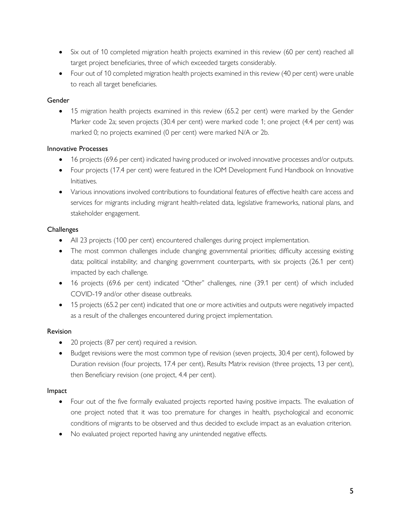- Six out of 10 completed migration health projects examined in this review (60 per cent) reached all target project beneficiaries, three of which exceeded targets considerably.
- Four out of 10 completed migration health projects examined in this review (40 per cent) were unable to reach all target beneficiaries.

# **Gender**

• 15 migration health projects examined in this review (65.2 per cent) were marked by the Gender Marker code 2a; seven projects (30.4 per cent) were marked code 1; one project (4.4 per cent) was marked 0; no projects examined (0 per cent) were marked N/A or 2b.

# Innovative Processes

- 16 projects (69.6 per cent) indicated having produced or involved innovative processes and/or outputs.
- Four projects (17.4 per cent) were featured in the IOM Development Fund Handbook on Innovative Initiatives.
- Various innovations involved contributions to foundational features of effective health care access and services for migrants including migrant health-related data, legislative frameworks, national plans, and stakeholder engagement.

# **Challenges**

- All 23 projects (100 per cent) encountered challenges during project implementation.
- The most common challenges include changing governmental priorities; difficulty accessing existing data; political instability; and changing government counterparts, with six projects (26.1 per cent) impacted by each challenge.
- 16 projects (69.6 per cent) indicated "Other" challenges, nine (39.1 per cent) of which included COVID-19 and/or other disease outbreaks.
- 15 projects (65.2 per cent) indicated that one or more activities and outputs were negatively impacted as a result of the challenges encountered during project implementation.

# Revision

- 20 projects (87 per cent) required a revision.
- Budget revisions were the most common type of revision (seven projects, 30.4 per cent), followed by Duration revision (four projects, 17.4 per cent), Results Matrix revision (three projects, 13 per cent), then Beneficiary revision (one project, 4.4 per cent).

#### Impact

- Four out of the five formally evaluated projects reported having positive impacts. The evaluation of one project noted that it was too premature for changes in health, psychological and economic conditions of migrants to be observed and thus decided to exclude impact as an evaluation criterion.
- No evaluated project reported having any unintended negative effects.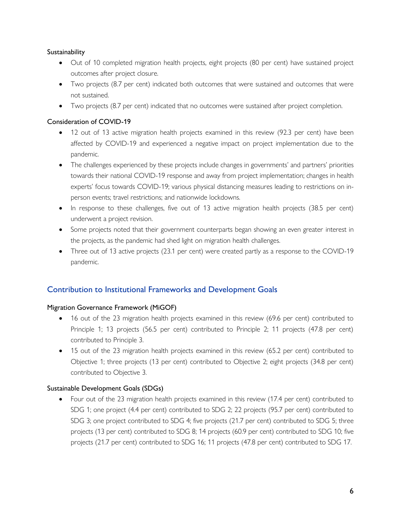# **Sustainability**

- Out of 10 completed migration health projects, eight projects (80 per cent) have sustained project outcomes after project closure.
- Two projects (8.7 per cent) indicated both outcomes that were sustained and outcomes that were not sustained.
- Two projects (8.7 per cent) indicated that no outcomes were sustained after project completion.

#### Consideration of COVID-19

- 12 out of 13 active migration health projects examined in this review (92.3 per cent) have been affected by COVID-19 and experienced a negative impact on project implementation due to the pandemic.
- The challenges experienced by these projects include changes in governments' and partners' priorities towards their national COVID-19 response and away from project implementation; changes in health experts' focus towards COVID-19; various physical distancing measures leading to restrictions on inperson events; travel restrictions; and nationwide lockdowns.
- In response to these challenges, five out of 13 active migration health projects (38.5 per cent) underwent a project revision.
- Some projects noted that their government counterparts began showing an even greater interest in the projects, as the pandemic had shed light on migration health challenges.
- Three out of 13 active projects (23.1 per cent) were created partly as a response to the COVID-19 pandemic.

# <span id="page-5-0"></span>Contribution to Institutional Frameworks and Development Goals

#### Migration Governance Framework (MiGOF)

- 16 out of the 23 migration health projects examined in this review (69.6 per cent) contributed to Principle 1; 13 projects (56.5 per cent) contributed to Principle 2; 11 projects (47.8 per cent) contributed to Principle 3.
- 15 out of the 23 migration health projects examined in this review (65.2 per cent) contributed to Objective 1; three projects (13 per cent) contributed to Objective 2; eight projects (34.8 per cent) contributed to Objective 3.

#### Sustainable Development Goals (SDGs)

• Four out of the 23 migration health projects examined in this review (17.4 per cent) contributed to SDG 1; one project (4.4 per cent) contributed to SDG 2; 22 projects (95.7 per cent) contributed to SDG 3; one project contributed to SDG 4; five projects (21.7 per cent) contributed to SDG 5; three projects (13 per cent) contributed to SDG 8; 14 projects (60.9 per cent) contributed to SDG 10; five projects (21.7 per cent) contributed to SDG 16; 11 projects (47.8 per cent) contributed to SDG 17.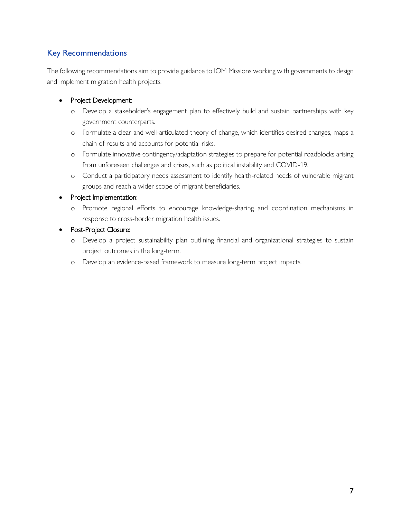# <span id="page-6-0"></span>Key Recommendations

The following recommendations aim to provide guidance to IOM Missions working with governments to design and implement migration health projects.

# • Project Development:

- o Develop a stakeholder's engagement plan to effectively build and sustain partnerships with key government counterparts.
- o Formulate a clear and well-articulated theory of change, which identifies desired changes, maps a chain of results and accounts for potential risks.
- o Formulate innovative contingency/adaptation strategies to prepare for potential roadblocks arising from unforeseen challenges and crises, such as political instability and COVID-19.
- o Conduct a participatory needs assessment to identify health-related needs of vulnerable migrant groups and reach a wider scope of migrant beneficiaries.

#### • Project Implementation:

- o Promote regional efforts to encourage knowledge-sharing and coordination mechanisms in response to cross-border migration health issues.
- Post-Project Closure:
	- o Develop a project sustainability plan outlining financial and organizational strategies to sustain project outcomes in the long-term.
	- o Develop an evidence-based framework to measure long-term project impacts.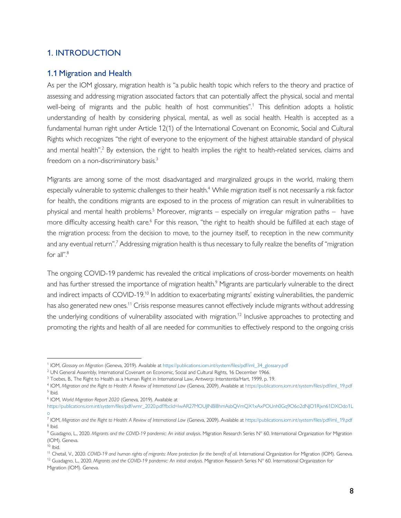# <span id="page-7-0"></span>1. INTRODUCTION

# <span id="page-7-1"></span>1.1 Migration and Health

As per the IOM glossary, migration health is "a public health topic which refers to the theory and practice of assessing and addressing migration associated factors that can potentially affect the physical, social and mental well-being of migrants and the public health of host communities".<sup>1</sup> This definition adopts a holistic understanding of health by considering physical, mental, as well as social health. Health is accepted as a fundamental human right under Article 12(1) of the International Covenant on Economic, Social and Cultural Rights which recognizes "the right of everyone to the enjoyment of the highest attainable standard of physical and mental health".<sup>2</sup> By extension, the right to health implies the right to health-related services, claims and freedom on a non-discriminatory basis.<sup>3</sup>

Migrants are among some of the most disadvantaged and marginalized groups in the world, making them especially vulnerable to systemic challenges to their health.<sup>4</sup> While migration itself is not necessarily a risk factor for health, the conditions migrants are exposed to in the process of migration can result in vulnerabilities to physical and mental health problems.<sup>5</sup> Moreover, migrants – especially on irregular migration paths – have more difficulty accessing health care.<sup>6</sup> For this reason, "the right to health should be fulfilled at each stage of the migration process: from the decision to move, to the journey itself, to reception in the new community and any eventual return".<sup>7</sup> Addressing migration health is thus necessary to fully realize the benefits of "migration for all".<sup>8</sup>

The ongoing COVID-19 pandemic has revealed the critical implications of cross-border movements on health and has further stressed the importance of migration health.<sup>9</sup> Migrants are particularly vulnerable to the direct and indirect impacts of COVID-19.<sup>10</sup> In addition to exacerbating migrants' existing vulnerabilities, the pandemic has also generated new ones.<sup>11</sup> Crisis response measures cannot effectively include migrants without addressing the underlying conditions of vulnerability associated with migration.<sup>12</sup> Inclusive approaches to protecting and promoting the rights and health of all are needed for communities to effectively respond to the ongoing crisis

6 IOM, *World Migration Report 2020* (Geneva, 2019). Available at [https://publications.iom.int/system/files/pdf/wmr\\_2020.pdf?fbclid=IwAR27MOUJlNBl8hmAsbQVmQX1xAxPOUnh0Gq9O6o2dNJO1Rjxn61DXOdo1L](https://publications.iom.int/system/files/pdf/wmr_2020.pdf?fbclid=IwAR27MOUJlNBl8hmAsbQVmQX1xAxPOUnh0Gq9O6o2dNJO1Rjxn61DXOdo1Lo) [o](https://publications.iom.int/system/files/pdf/wmr_2020.pdf?fbclid=IwAR27MOUJlNBl8hmAsbQVmQX1xAxPOUnh0Gq9O6o2dNJO1Rjxn61DXOdo1Lo)

<sup>1</sup> IOM, *Glossary on Migration* (Geneva, 2019). Available a[t https://publications.iom.int/system/files/pdf/iml\\_34\\_glossary.pdf](https://publications.iom.int/system/files/pdf/iml_34_glossary.pdf)

<sup>&</sup>lt;sup>2</sup> UN General Assembly, International Covenant on Economic, Social and Cultural Rights, 16 December 1966.

<sup>&</sup>lt;sup>3</sup> Toebes, B., The Right to Health as a Human Right in International Law, Antwerp: Interstentia/Hart, 1999, p. 19.

<sup>4</sup> IOM, *Migration and the Right to Health: A Review of International Law* (Geneva, 2009). Available a[t https://publications.iom.int/system/files/pdf/iml\\_19.pdf](https://publications.iom.int/system/files/pdf/iml_19.pdf) <sup>5</sup> Ibid.

<sup>7</sup> IOM, *Migration and the Right to Health: A Review of International Law* (Geneva, 2009). Available a[t https://publications.iom.int/system/files/pdf/iml\\_19.pdf](https://publications.iom.int/system/files/pdf/iml_19.pdf) <sup>8</sup> Ibid.

<sup>9</sup> Guadagno, L., 2020. *Migrants and the COVID-19 pandemic: An initial analysis*. Migration Research Series N° 60. International Organization for Migration (IOM). Geneva.

 $10$  Ibid.

<sup>&</sup>lt;sup>11</sup> Chetail, V., 2020. *COVID-19 and human rights of migrants: More protection for the benefit of all*. International Organization for Migration (IOM). Geneva.

<sup>12</sup> Guadagno, L., 2020. *Migrants and the COVID-19 pandemic: An initial analysis*. Migration Research Series N° 60. International Organization for Migration (IOM). Geneva.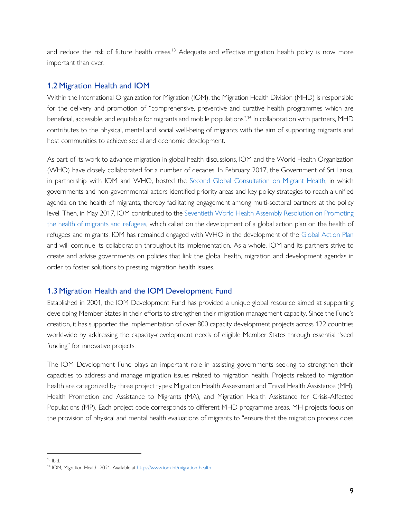and reduce the risk of future health crises.<sup>13</sup> Adequate and effective migration health policy is now more important than ever.

# <span id="page-8-0"></span>1.2 Migration Health and IOM

Within the International Organization for Migration (IOM), the Migration Health Division (MHD) is responsible for the delivery and promotion of "comprehensive, preventive and curative health programmes which are beneficial, accessible, and equitable for migrants and mobile populations".<sup>14</sup> In collaboration with partners, MHD contributes to the physical, mental and social well-being of migrants with the aim of supporting migrants and host communities to achieve social and economic development.

As part of its work to advance migration in global health discussions, IOM and the World Health Organization (WHO) have closely collaborated for a number of decades. In February 2017, the Government of Sri Lanka, in partnership with IOM and WHO, hosted the Second [Global Consultation on Migrant Health,](https://www.iom.int/migration-health/second-global-consultation) in which governments and non-governmental actors identified priority areas and key policy strategies to reach a unified agenda on the health of migrants, thereby facilitating engagement among multi-sectoral partners at the policy level. Then, in May 2017, IOM contributed to th[e Seventieth World Health Assembly Resolution on Promoting](https://www.iom.int/sites/default/files/our_work/DMM/Migration-Health/WHA_RES_70.15-Promoting-the-health-of-refugees-and-migrants.pdf)  [the health of migrants and refugees,](https://www.iom.int/sites/default/files/our_work/DMM/Migration-Health/WHA_RES_70.15-Promoting-the-health-of-refugees-and-migrants.pdf) which called on the development of a global action plan on the health of refugees and migrants. IOM has remained engaged with WHO in the development of the [Global Action Plan](https://apps.who.int/gb/ebwha/pdf_files/WHA72/A72_25Rev1-en.pdf) and will continue its collaboration throughout its implementation. As a whole, IOM and its partners strive to create and advise governments on policies that link the global health, migration and development agendas in order to foster solutions to pressing migration health issues.

# <span id="page-8-1"></span>1.3 Migration Health and the IOM Development Fund

Established in 2001, the IOM Development Fund has provided a unique global resource aimed at supporting developing Member States in their efforts to strengthen their migration management capacity. Since the Fund's creation, it has supported the implementation of over 800 capacity development projects across 122 countries worldwide by addressing the capacity-development needs of eligible Member States through essential "seed funding" for innovative projects.

The IOM Development Fund plays an important role in assisting governments seeking to strengthen their capacities to address and manage migration issues related to migration health. Projects related to migration health are categorized by three project types: Migration Health Assessment and Travel Health Assistance (MH), Health Promotion and Assistance to Migrants (MA), and Migration Health Assistance for Crisis-Affected Populations (MP). Each project code corresponds to different MHD programme areas. MH projects focus on the provision of physical and mental health evaluations of migrants to "ensure that the migration process does

 $13$  Ibid.

<sup>14</sup> IOM, Migration Health. 2021. Available a[t https://www.iom.int/migration-health](https://www.iom.int/migration-health)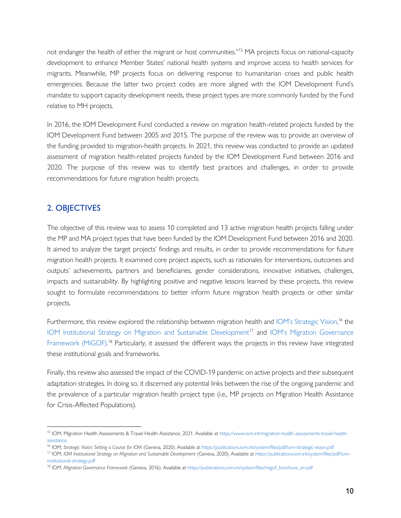not endanger the health of either the migrant or host communities."<sup>15</sup> MA projects focus on national-capacity development to enhance Member States' national health systems and improve access to health services for migrants. Meanwhile, MP projects focus on delivering response to humanitarian crises and public health emergencies. Because the latter two project codes are more aligned with the IOM Development Fund's mandate to support capacity development needs, these project types are more commonly funded by the Fund relative to MH projects.

In 2016, the IOM Development Fund conducted a review on migration health-related projects funded by the IOM Development Fund between 2005 and 2015. The purpose of the review was to provide an overview of the funding provided to migration-health projects. In 2021, this review was conducted to provide an updated assessment of migration health-related projects funded by the IOM Development Fund between 2016 and 2020. The purpose of this review was to identify best practices and challenges, in order to provide recommendations for future migration health projects.

# <span id="page-9-0"></span>2. OBJECTIVES

The objective of this review was to assess 10 completed and 13 active migration health projects falling under the MP and MA project types that have been funded by the IOM Development Fund between 2016 and 2020. It aimed to analyze the target projects' findings and results, in order to provide recommendations for future migration health projects. It examined core project aspects, such as rationales for interventions, outcomes and outputs' achievements, partners and beneficiaries, gender considerations, innovative initiatives, challenges, impacts and sustainability. By highlighting positive and negative lessons learned by these projects, this review sought to formulate recommendations to better inform future migration health projects or other similar projects.

Furthermore, this review explored the relationship between migration health and [IOM's Strategic Vision](https://publications.iom.int/system/files/pdf/iom-strategic-vision.pdf),<sup>16</sup> the [IOM Institutional Strategy on Migration and Sustainable Development](https://publications.iom.int/system/files/pdf/iom-institutional-strategy.pdf)<sup>17</sup> and IOM's Migration Governance [Framework \(MiGOF\).](https://www.iom.int/sites/default/files/about-iom/migof_brochure_a4_en.pdf)<sup>18</sup> Particularly, it assessed the different ways the projects in this review have integrated these institutional goals and frameworks.

Finally, this review also assessed the impact of the COVID-19 pandemic on active projects and their subsequent adaptation strategies. In doing so, it discerned any potential links between the rise of the ongoing pandemic and the prevalence of a particular migration health project type (i.e., MP projects on Migration Health Assistance for Crisis-Affected Populations).

<sup>15</sup> IOM, Migration Health Assessments & Travel Health Assistance. 2021. Available a[t https://www.iom.int/migration-health-assessments-travel-health](https://www.iom.int/migration-health-assessments-travel-health-assistance)[assistance](https://www.iom.int/migration-health-assessments-travel-health-assistance)

<sup>16</sup> IOM, *Strategic Vision: Setting a Course for IOM* (Geneva, 2020). Available at<https://publications.iom.int/system/files/pdf/iom-strategic-vision.pdf>

<sup>17</sup> IOM, *IOM Institutional Strategy on Migration and Sustainable Development* (Geneva, 2020). Available at [https://publications.iom.int/system/files/pdf/iom](https://publications.iom.int/system/files/pdf/iom-institutional-strategy.pdf)[institutional-strategy.pdf](https://publications.iom.int/system/files/pdf/iom-institutional-strategy.pdf)

<sup>18</sup> IOM, *Migration Governance Framework* (Geneva, 2016). Available a[t https://publications.iom.int/system/files/migof\\_brochure\\_en.pdf](https://publications.iom.int/system/files/migof_brochure_en.pdf)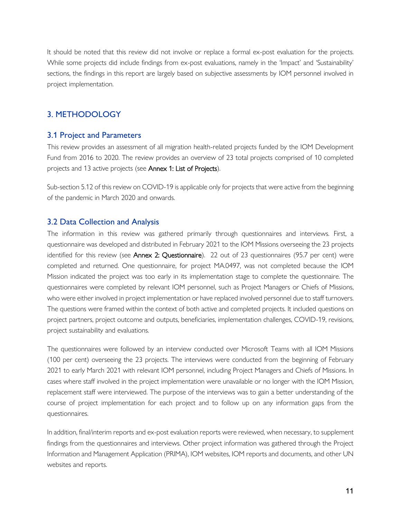It should be noted that this review did not involve or replace a formal ex-post evaluation for the projects. While some projects did include findings from ex-post evaluations, namely in the 'Impact' and 'Sustainability' sections, the findings in this report are largely based on subjective assessments by IOM personnel involved in project implementation.

# <span id="page-10-0"></span>3. METHODOLOGY

# <span id="page-10-1"></span>3.1 Project and Parameters

This review provides an assessment of all migration health-related projects funded by the IOM Development Fund from 2016 to 2020. The review provides an overview of 23 total projects comprised of 10 completed projects and 13 active projects (see Annex 1: List of Projects).

Sub-section 5.12 of this review on COVID-19 is applicable only for projects that were active from the beginning of the pandemic in March 2020 and onwards.

# <span id="page-10-2"></span>3.2 Data Collection and Analysis

The information in this review was gathered primarily through questionnaires and interviews. First, a questionnaire was developed and distributed in February 2021 to the IOM Missions overseeing the 23 projects identified for this review (see Annex 2: Questionnaire). 22 out of 23 questionnaires (95.7 per cent) were completed and returned. One questionnaire, for project MA.0497, was not completed because the IOM Mission indicated the project was too early in its implementation stage to complete the questionnaire. The questionnaires were completed by relevant IOM personnel, such as Project Managers or Chiefs of Missions, who were either involved in project implementation or have replaced involved personnel due to staff turnovers. The questions were framed within the context of both active and completed projects. It included questions on project partners, project outcome and outputs, beneficiaries, implementation challenges, COVID-19, revisions, project sustainability and evaluations.

The questionnaires were followed by an interview conducted over Microsoft Teams with all IOM Missions (100 per cent) overseeing the 23 projects. The interviews were conducted from the beginning of February 2021 to early March 2021 with relevant IOM personnel, including Project Managers and Chiefs of Missions. In cases where staff involved in the project implementation were unavailable or no longer with the IOM Mission, replacement staff were interviewed. The purpose of the interviews was to gain a better understanding of the course of project implementation for each project and to follow up on any information gaps from the questionnaires.

In addition, final/interim reports and ex-post evaluation reports were reviewed, when necessary, to supplement findings from the questionnaires and interviews. Other project information was gathered through the Project Information and Management Application (PRIMA), IOM websites, IOM reports and documents, and other UN websites and reports.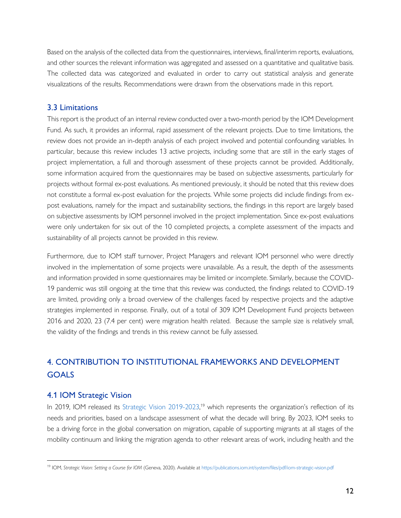Based on the analysis of the collected data from the questionnaires, interviews, final/interim reports, evaluations, and other sources the relevant information was aggregated and assessed on a quantitative and qualitative basis. The collected data was categorized and evaluated in order to carry out statistical analysis and generate visualizations of the results. Recommendations were drawn from the observations made in this report.

# <span id="page-11-0"></span>3.3 Limitations

This report is the product of an internal review conducted over a two-month period by the IOM Development Fund. As such, it provides an informal, rapid assessment of the relevant projects. Due to time limitations, the review does not provide an in-depth analysis of each project involved and potential confounding variables. In particular, because this review includes 13 active projects, including some that are still in the early stages of project implementation, a full and thorough assessment of these projects cannot be provided. Additionally, some information acquired from the questionnaires may be based on subjective assessments, particularly for projects without formal ex-post evaluations. As mentioned previously, it should be noted that this review does not constitute a formal ex-post evaluation for the projects. While some projects did include findings from expost evaluations, namely for the impact and sustainability sections, the findings in this report are largely based on subjective assessments by IOM personnel involved in the project implementation. Since ex-post evaluations were only undertaken for six out of the 10 completed projects, a complete assessment of the impacts and sustainability of all projects cannot be provided in this review.

Furthermore, due to IOM staff turnover, Project Managers and relevant IOM personnel who were directly involved in the implementation of some projects were unavailable. As a result, the depth of the assessments and information provided in some questionnaires may be limited or incomplete. Similarly, because the COVID-19 pandemic was still ongoing at the time that this review was conducted, the findings related to COVID-19 are limited, providing only a broad overview of the challenges faced by respective projects and the adaptive strategies implemented in response. Finally, out of a total of 309 IOM Development Fund projects between 2016 and 2020, 23 (7.4 per cent) were migration health related. Because the sample size is relatively small, the validity of the findings and trends in this review cannot be fully assessed.

# <span id="page-11-1"></span>4. CONTRIBUTION TO INSTITUTIONAL FRAMEWORKS AND DEVELOPMENT GOALS

# <span id="page-11-2"></span>4.1 IOM Strategic Vision

In 2019, IOM released its [Strategic Vision](https://publications.iom.int/system/files/pdf/iom-strategic-vision.pdf) 2019-2023,<sup>19</sup> which represents the organization's reflection of its needs and priorities, based on a landscape assessment of what the decade will bring. By 2023, IOM seeks to be a driving force in the global conversation on migration, capable of supporting migrants at all stages of the mobility continuum and linking the migration agenda to other relevant areas of work, including health and the

<sup>19</sup> IOM, *Strategic Vision: Setting a Course for IOM* (Geneva, 2020). Available at<https://publications.iom.int/system/files/pdf/iom-strategic-vision.pdf>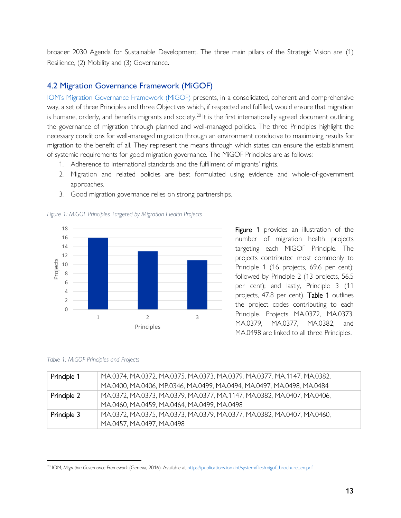broader 2030 Agenda for Sustainable Development. The three main pillars of the Strategic Vision are (1) Resilience, (2) Mobility and (3) Governance.

# <span id="page-12-0"></span>4.2 Migration Governance Framework (MiGOF)

[IOM's Migration Governance Framework \(MiGOF\)](https://publications.iom.int/system/files/migof_brochure_en.pdf) presents, in a consolidated, coherent and comprehensive way, a set of three Principles and three Objectives which, if respected and fulfilled, would ensure that migration is humane, orderly, and benefits migrants and society.<sup>20</sup> It is the first internationally agreed document outlining the governance of migration through planned and well-managed policies. The three Principles highlight the necessary conditions for well-managed migration through an environment conducive to maximizing results for migration to the benefit of all. They represent the means through which states can ensure the establishment of systemic requirements for good migration governance. The MiGOF Principles are as follows:

- 1. Adherence to international standards and the fulfilment of migrants' rights.
- 2. Migration and related policies are best formulated using evidence and whole-of-government approaches.
- 3. Good migration governance relies on strong partnerships.

*Figure 1: MiGOF Principles Targeted by Migration Health Projects*



Figure 1 provides an illustration of the number of migration health projects targeting each MiGOF Principle. The projects contributed most commonly to Principle 1 (16 projects, 69.6 per cent); followed by Principle 2 (13 projects, 56.5 per cent); and lastly, Principle 3 (11 projects, 47.8 per cent). Table 1 outlines the project codes contributing to each Principle. Projects MA.0372, MA.0373, MA.0379, MA.0377, MA.0382, and MA.0498 are linked to all three Principles.

#### *Table 1: MiGOF Principles and Projects*

| Principle 1 | MA.0374, MA.0372, MA.0375, MA.0373, MA.0379, MA.0377, MA.1147, MA.0382, |
|-------------|-------------------------------------------------------------------------|
|             | MA.0400, MA.0406, MP.0346, MA.0499, MA.0494, MA.0497, MA.0498, MA.0484  |
| Principle 2 | MA.0372, MA.0373, MA.0379, MA.0377, MA.1147, MA.0382, MA.0407, MA.0406, |
|             | MA.0460, MA.0459, MA.0464, MA.0499, MA.0498                             |
| Principle 3 | MA.0372, MA.0375, MA.0373, MA.0379, MA.0377, MA.0382, MA.0407, MA.0460, |
|             | MA.0457, MA.0497, MA.0498                                               |

<sup>20</sup> IOM, *Migration Governance Framework* (Geneva, 2016). Available a[t https://publications.iom.int/system/files/migof\\_brochure\\_en.pdf](https://publications.iom.int/system/files/migof_brochure_en.pdf)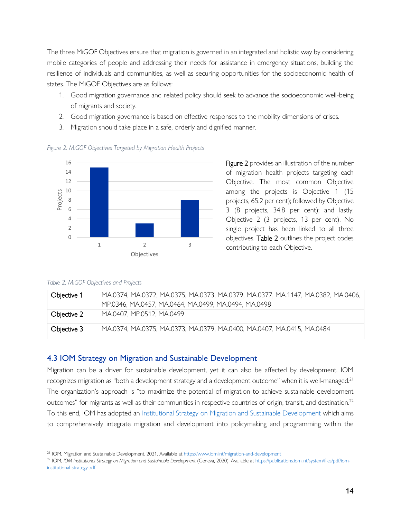The three MiGOF Objectives ensure that migration is governed in an integrated and holistic way by considering mobile categories of people and addressing their needs for assistance in emergency situations, building the resilience of individuals and communities, as well as securing opportunities for the socioeconomic health of states. The MiGOF Objectives are as follows:

- 1. Good migration governance and related policy should seek to advance the socioeconomic well-being of migrants and society.
- 2. Good migration governance is based on effective responses to the mobility dimensions of crises.
- 3. Migration should take place in a safe, orderly and dignified manner.



*Figure 2: MiGOF Objectives Targeted by Migration Health Projects* 

**Figure 2** provides an illustration of the number of migration health projects targeting each Objective. The most common Objective among the projects is Objective 1 (15 projects, 65.2 per cent); followed by Objective 3 (8 projects, 34.8 per cent); and lastly, Objective 2 (3 projects, 13 per cent). No single project has been linked to all three objectives. Table 2 outlines the project codes contributing to each Objective.

#### *Table 2: MiGOF Objectives and Projects*

| Objective 1 | MA.0374, MA.0372, MA.0375, MA.0373, MA.0379, MA.0377, MA.1147, MA.0382, MA.0406,<br>MP.0346, MA.0457, MA.0464, MA.0499, MA.0494, MA.0498 |
|-------------|------------------------------------------------------------------------------------------------------------------------------------------|
| Objective 2 | MA.0407, MP.0512, MA.0499                                                                                                                |
| Objective 3 | MA.0374, MA.0375, MA.0373, MA.0379, MA.0400, MA.0407, MA.0415, MA.0484                                                                   |

# <span id="page-13-0"></span>4.3 IOM Strategy on Migration and Sustainable Development

Migration can be a driver for sustainable development, yet it can also be affected by development. IOM recognizes migration as "both a development strategy and a development outcome" when it is well-managed.<sup>21</sup> The organization's approach is "to maximize the potential of migration to achieve sustainable development outcomes" for migrants as well as their communities in respective countries of origin, transit, and destination.<sup>22</sup> To this end, IOM has adopted an [Institutional Strategy on Migration and Sustainable Development](https://publications.iom.int/system/files/pdf/iom-institutional-strategy.pdf) which aims to comprehensively integrate migration and development into policymaking and programming within the

<sup>21</sup> IOM, Migration and Sustainable Development. 2021. Available at <https://www.iom.int/migration-and-development>

<sup>22</sup> IOM, *IOM Institutional Strategy on Migration and Sustainable Development* (Geneva, 2020). Available at [https://publications.iom.int/system/files/pdf/iom](https://publications.iom.int/system/files/pdf/iom-institutional-strategy.pdf)[institutional-strategy.pdf](https://publications.iom.int/system/files/pdf/iom-institutional-strategy.pdf)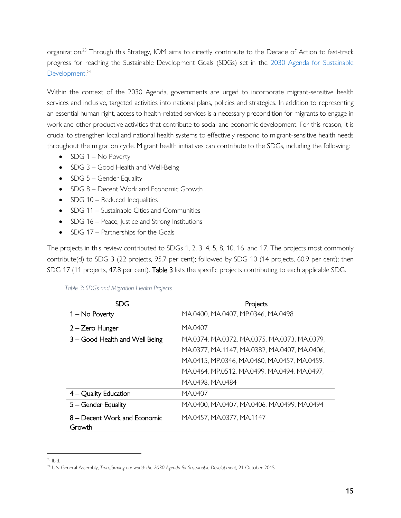organization.<sup>23</sup> Through this Strategy, IOM aims to directly contribute to the Decade of Action to fast-track progress for reaching the Sustainable Development Goals (SDGs) set in the [2030 Agenda for Sustainable](https://www.un.org/ga/search/view_doc.asp?symbol=A/RES/70/1&Lang=E)  [Development.](https://www.un.org/ga/search/view_doc.asp?symbol=A/RES/70/1&Lang=E) 24

Within the context of the 2030 Agenda, governments are urged to incorporate migrant-sensitive health services and inclusive, targeted activities into national plans, policies and strategies. In addition to representing an essential human right, access to health-related services is a necessary precondition for migrants to engage in work and other productive activities that contribute to social and economic development. For this reason, it is crucial to strengthen local and national health systems to effectively respond to migrant-sensitive health needs throughout the migration cycle. Migrant health initiatives can contribute to the SDGs, including the following:

- SDG 1 No Poverty
- SDG 3 Good Health and Well-Being
- SDG 5 Gender Equality
- SDG 8 Decent Work and Economic Growth
- SDG 10 Reduced Inequalities
- SDG 11 Sustainable Cities and Communities
- SDG 16 Peace, Justice and Strong Institutions
- SDG 17 Partnerships for the Goals

The projects in this review contributed to SDGs 1, 2, 3, 4, 5, 8, 10, 16, and 17. The projects most commonly contribute(d) to SDG 3 (22 projects, 95.7 per cent); followed by SDG 10 (14 projects, 60.9 per cent); then SDG 17 (11 projects, 47.8 per cent). Table 3 lists the specific projects contributing to each applicable SDG.

| Table 3: SDGs and Migration Health Projects |  |
|---------------------------------------------|--|
|---------------------------------------------|--|

| <b>SDG</b>                             | Projects                                     |
|----------------------------------------|----------------------------------------------|
| 1 – No Poverty                         | MA.0400, MA.0407, MP.0346, MA.0498           |
| 2 – Zero Hunger                        | MA.0407                                      |
| 3 - Good Health and Well Being         | MA.0374, MA.0372, MA.0375, MA.0373, MA.0379, |
|                                        | MA.0377, MA.1147, MA.0382, MA.0407, MA.0406, |
|                                        | MA.0415, MP.0346, MA.0460, MA.0457, MA.0459, |
|                                        | MA.0464, MP.0512, MA.0499, MA.0494, MA.0497, |
|                                        | MA.0498, MA.0484                             |
| $4 -$ Quality Education                | MA.0407                                      |
| 5 - Gender Equality                    | MA.0400, MA.0407, MA.0406, MA.0499, MA.0494  |
| 8 – Decent Work and Economic<br>Growth | MA.0457, MA.0377, MA.1147                    |

 $23$  Ibid.

<sup>&</sup>lt;sup>24</sup> UN General Assembly, *Transforming our world: the 2030 Agenda for Sustainable Development*, 21 October 2015.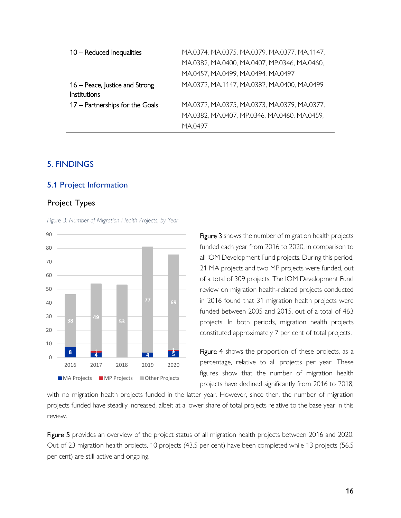| 10 - Reduced Inequalities       | MA.0374, MA.0375, MA.0379, MA.0377, MA.1147, |
|---------------------------------|----------------------------------------------|
|                                 | MA.0382, MA.0400, MA.0407, MP.0346, MA.0460, |
|                                 | MA.0457, MA.0499, MA.0494, MA.0497           |
| 16 – Peace, Justice and Strong  | MA.0372, MA.1147, MA.0382, MA.0400, MA.0499  |
| <b>Institutions</b>             |                                              |
| 17 - Partnerships for the Goals | MA.0372, MA.0375, MA.0373, MA.0379, MA.0377, |
|                                 | MA.0382, MA.0407, MP.0346, MA.0460, MA.0459, |
|                                 | MA.0497                                      |

# <span id="page-15-0"></span>5. FINDINGS

#### <span id="page-15-1"></span>5.1 Project Information

#### <span id="page-15-2"></span>Project Types

*Figure 3: Number of Migration Health Projects, by Year*



Figure 3 shows the number of migration health projects funded each year from 2016 to 2020, in comparison to all IOM Development Fund projects. During this period, 21 MA projects and two MP projects were funded, out of a total of 309 projects. The IOM Development Fund review on migration health-related projects conducted in 2016 found that 31 migration health projects were funded between 2005 and 2015, out of a total of 463 projects. In both periods, migration health projects constituted approximately 7 per cent of total projects.

Figure 4 shows the proportion of these projects, as a percentage, relative to all projects per year. These figures show that the number of migration health projects have declined significantly from 2016 to 2018,

with no migration health projects funded in the latter year. However, since then, the number of migration projects funded have steadily increased, albeit at a lower share of total projects relative to the base year in this review.

Figure 5 provides an overview of the project status of all migration health projects between 2016 and 2020. Out of 23 migration health projects, 10 projects (43.5 per cent) have been completed while 13 projects (56.5 per cent) are still active and ongoing.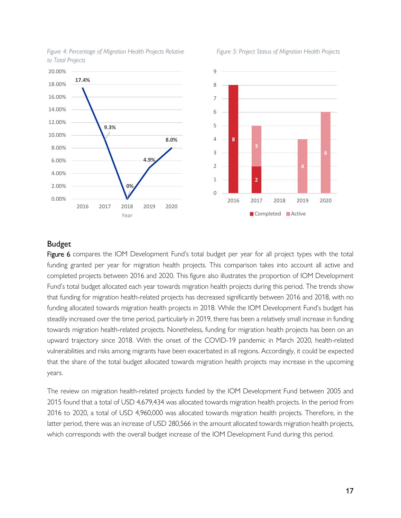

#### Figure 4: Percentage of Migration Health Projects Relative Figure 5: Project Status of Migration Health Projects *to Total Projects*

# <span id="page-16-0"></span>Budget

Figure 6 compares the IOM Development Fund's total budget per year for all project types with the total funding granted per year for migration health projects. This comparison takes into account all active and completed projects between 2016 and 2020. This figure also illustrates the proportion of IOM Development Fund's total budget allocated each year towards migration health projects during this period. The trends show that funding for migration health-related projects has decreased significantly between 2016 and 2018, with no funding allocated towards migration health projects in 2018. While the IOM Development Fund's budget has steadily increased over the time period, particularly in 2019, there has been a relatively small increase in funding towards migration health-related projects. Nonetheless, funding for migration health projects has been on an upward trajectory since 2018. With the onset of the COVID-19 pandemic in March 2020, health-related vulnerabilities and risks among migrants have been exacerbated in all regions. Accordingly, it could be expected that the share of the total budget allocated towards migration health projects may increase in the upcoming years.

The review on migration health-related projects funded by the IOM Development Fund between 2005 and 2015 found that a total of USD 4,679,434 was allocated towards migration health projects. In the period from 2016 to 2020, a total of USD 4,960,000 was allocated towards migration health projects. Therefore, in the latter period, there was an increase of USD 280,566 in the amount allocated towards migration health projects, which corresponds with the overall budget increase of the IOM Development Fund during this period.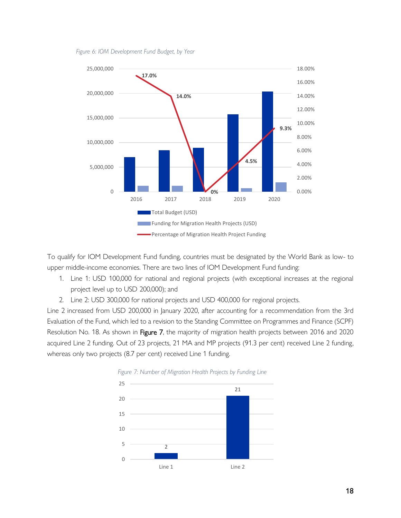

#### *Figure 6: IOM Development Fund Budget, by Year*

To qualify for IOM Development Fund funding, countries must be designated by the World Bank as low- to upper middle-income economies. There are two lines of IOM Development Fund funding:

- 1. Line 1: USD 100,000 for national and regional projects (with exceptional increases at the regional project level up to USD 200,000); and
- 2. Line 2: USD 300,000 for national projects and USD 400,000 for regional projects.

Line 2 increased from USD 200,000 in January 2020, after accounting for a recommendation from the 3rd Evaluation of the Fund, which led to a revision to the Standing Committee on Programmes and Finance (SCPF) Resolution No. 18. As shown in Figure 7, the majority of migration health projects between 2016 and 2020 acquired Line 2 funding. Out of 23 projects, 21 MA and MP projects (91.3 per cent) received Line 2 funding, whereas only two projects (8.7 per cent) received Line 1 funding.



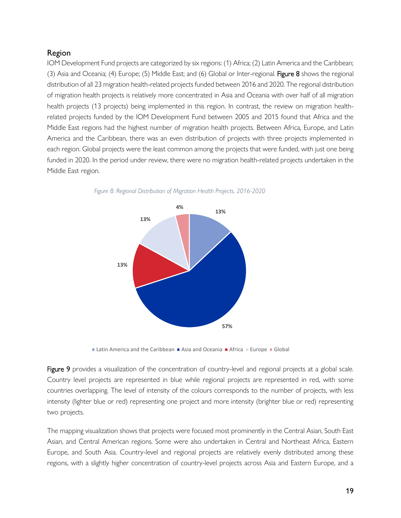# <span id="page-18-0"></span>Region

IOM Development Fund projects are categorized by six regions: (1) Africa; (2) Latin America and the Caribbean; (3) Asia and Oceania; (4) Europe; (5) Middle East; and (6) Global or Inter-regional. Figure 8 shows the regional distribution of all 23 migration health-related projects funded between 2016 and 2020. The regional distribution of migration health projects is relatively more concentrated in Asia and Oceania with over half of all migration health projects (13 projects) being implemented in this region. In contrast, the review on migration healthrelated projects funded by the IOM Development Fund between 2005 and 2015 found that Africa and the Middle East regions had the highest number of migration health projects. Between Africa, Europe, and Latin America and the Caribbean, there was an even distribution of projects with three projects implemented in each region. Global projects were the least common among the projects that were funded, with just one being funded in 2020. In the period under review, there were no migration health-related projects undertaken in the Middle East region.



*Figure 8: Regional Distribution of Migration Health Projects, 2016-2020*

Latin America and the Caribbean  $\blacksquare$  Asia and Oceania  $\blacksquare$  Africa  $\blacksquare$  Europe  $\blacksquare$  Global

Figure 9 provides a visualization of the concentration of country-level and regional projects at a global scale. Country level projects are represented in blue while regional projects are represented in red, with some countries overlapping. The level of intensity of the colours corresponds to the number of projects, with less intensity (lighter blue or red) representing one project and more intensity (brighter blue or red) representing two projects.

The mapping visualization shows that projects were focused most prominently in the Central Asian, South East Asian, and Central American regions. Some were also undertaken in Central and Northeast Africa, Eastern Europe, and South Asia. Country-level and regional projects are relatively evenly distributed among these regions, with a slightly higher concentration of country-level projects across Asia and Eastern Europe, and a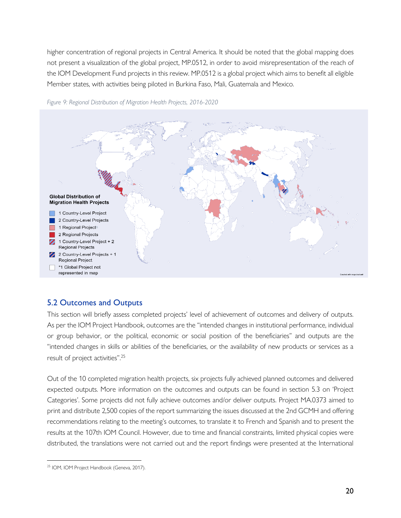higher concentration of regional projects in Central America. It should be noted that the global mapping does not present a visualization of the global project, MP.0512, in order to avoid misrepresentation of the reach of the IOM Development Fund projects in this review. MP.0512 is a global project which aims to benefit all eligible Member states, with activities being piloted in Burkina Faso, Mali, Guatemala and Mexico.



*Figure 9: Regional Distribution of Migration Health Projects, 2016-2020*

# <span id="page-19-0"></span>5.2 Outcomes and Outputs

This section will briefly assess completed projects' level of achievement of outcomes and delivery of outputs. As per the IOM Project Handbook, outcomes are the "intended changes in institutional performance, individual or group behavior, or the political, economic or social position of the beneficiaries" and outputs are the "intended changes in skills or abilities of the beneficiaries, or the availability of new products or services as a result of project activities".<sup>25</sup>

Out of the 10 completed migration health projects, six projects fully achieved planned outcomes and delivered expected outputs. More information on the outcomes and outputs can be found in section 5.3 on 'Project Categories'. Some projects did not fully achieve outcomes and/or deliver outputs. Project MA.0373 aimed to print and distribute 2,500 copies of the report summarizing the issues discussed at the 2nd GCMH and offering recommendations relating to the meeting's outcomes, to translate it to French and Spanish and to present the results at the 107th IOM Council. However, due to time and financial constraints, limited physical copies were distributed, the translations were not carried out and the report findings were presented at the International

<sup>&</sup>lt;sup>25</sup> IOM, IOM Project Handbook (Geneva, 2017).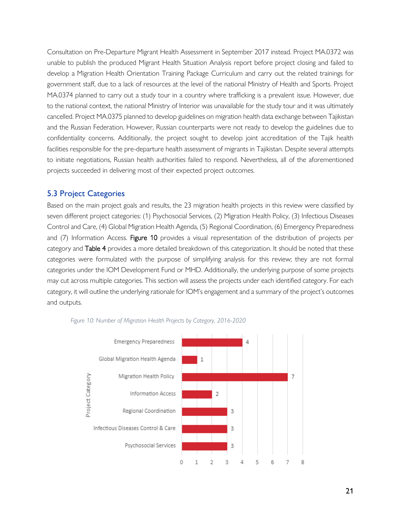Consultation on Pre-Departure Migrant Health Assessment in September 2017 instead. Project MA.0372 was unable to publish the produced Migrant Health Situation Analysis report before project closing and failed to develop a Migration Health Orientation Training Package Curriculum and carry out the related trainings for government staff, due to a lack of resources at the level of the national Ministry of Health and Sports. Project MA.0374 planned to carry out a study tour in a country where trafficking is a prevalent issue. However, due to the national context, the national Ministry of Interior was unavailable for the study tour and it was ultimately cancelled. Project MA.0375 planned to develop guidelines on migration health data exchange between Tajikistan and the Russian Federation. However, Russian counterparts were not ready to develop the guidelines due to confidentiality concerns. Additionally, the project sought to develop joint accreditation of the Tajik health facilities responsible for the pre-departure health assessment of migrants in Tajikistan. Despite several attempts to initiate negotiations, Russian health authorities failed to respond. Nevertheless, all of the aforementioned projects succeeded in delivering most of their expected project outcomes.

# <span id="page-20-0"></span>5.3 Project Categories

Based on the main project goals and results, the 23 migration health projects in this review were classified by seven different project categories: (1) Psychosocial Services, (2) Migration Health Policy, (3) Infectious Diseases Control and Care, (4) Global Migration Health Agenda, (5) Regional Coordination, (6) Emergency Preparedness and (7) Information Access. Figure 10 provides a visual representation of the distribution of projects per category and Table 4 provides a more detailed breakdown of this categorization. It should be noted that these categories were formulated with the purpose of simplifying analysis for this review; they are not formal categories under the IOM Development Fund or MHD. Additionally, the underlying purpose of some projects may cut across multiple categories. This section will assess the projects under each identified category. For each category, it will outline the underlying rationale for IOM's engagement and a summary of the project's outcomes and outputs.



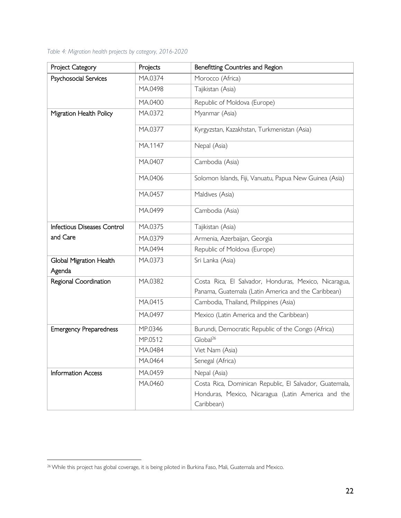# *Table 4: Migration health projects by category, 2016-2020*

| Project Category                         | Projects | Benefitting Countries and Region                        |
|------------------------------------------|----------|---------------------------------------------------------|
| Psychosocial Services                    | MA.0374  | Morocco (Africa)                                        |
|                                          | MA.0498  | Tajikistan (Asia)                                       |
|                                          | MA.0400  | Republic of Moldova (Europe)                            |
| Migration Health Policy                  | MA.0372  | Myanmar (Asia)                                          |
|                                          | MA.0377  | Kyrgyzstan, Kazakhstan, Turkmenistan (Asia)             |
|                                          | MA.1147  | Nepal (Asia)                                            |
|                                          | MA.0407  | Cambodia (Asia)                                         |
|                                          | MA.0406  | Solomon Islands, Fiji, Vanuatu, Papua New Guinea (Asia) |
|                                          | MA.0457  | Maldives (Asia)                                         |
|                                          | MA.0499  | Cambodia (Asia)                                         |
| Infectious Diseases Control              | MA.0375  | Tajikistan (Asia)                                       |
| and Care                                 | MA.0379  | Armenia, Azerbaijan, Georgia                            |
|                                          | MA.0494  | Republic of Moldova (Europe)                            |
| <b>Global Migration Health</b><br>Agenda | MA.0373  | Sri Lanka (Asia)                                        |
| Regional Coordination                    | MA.0382  | Costa Rica, El Salvador, Honduras, Mexico, Nicaragua,   |
|                                          |          | Panama, Guatemala (Latin America and the Caribbean)     |
|                                          | MA.0415  | Cambodia, Thailand, Philippines (Asia)                  |
|                                          | MA.0497  | Mexico (Latin America and the Caribbean)                |
| <b>Emergency Preparedness</b>            | MP.0346  | Burundi, Democratic Republic of the Congo (Africa)      |
|                                          | MP.0512  | Global <sup>26</sup>                                    |
|                                          | MA.0484  | Viet Nam (Asia)                                         |
|                                          | MA.0464  | Senegal (Africa)                                        |
| <b>Information Access</b>                | MA.0459  | Nepal (Asia)                                            |
|                                          | MA.0460  | Costa Rica, Dominican Republic, El Salvador, Guatemala, |
|                                          |          | Honduras, Mexico, Nicaragua (Latin America and the      |
|                                          |          | Caribbean)                                              |

<sup>&</sup>lt;sup>26</sup> While this project has global coverage, it is being piloted in Burkina Faso, Mali, Guatemala and Mexico.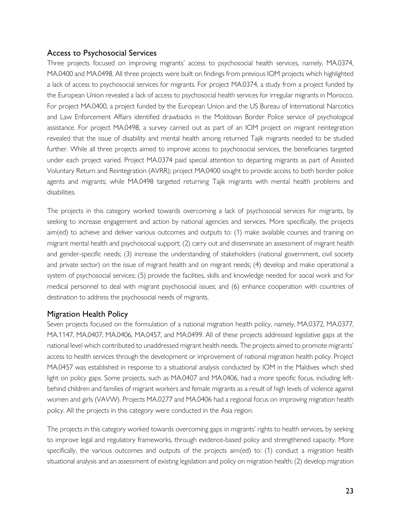# <span id="page-22-0"></span>Access to Psychosocial Services

Three projects focused on improving migrants' access to psychosocial health services, namely, MA.0374, MA.0400 and MA.0498. All three projects were built on findings from previous IOM projects which highlighted a lack of access to psychosocial services for migrants. For project MA.0374, a study from a project funded by the European Union revealed a lack of access to psychosocial health services for irregular migrants in Morocco. For project MA.0400, a project funded by the European Union and the US Bureau of International Narcotics and Law Enforcement Affairs identified drawbacks in the Moldovan Border Police service of psychological assistance. For project MA.0498, a survey carried out as part of an IOM project on migrant reintegration revealed that the issue of disability and mental health among returned Tajik migrants needed to be studied further. While all three projects aimed to improve access to psychosocial services, the beneficiaries targeted under each project varied. Project MA.0374 paid special attention to departing migrants as part of Assisted Voluntary Return and Reintegration (AVRR); project MA.0400 sought to provide access to both border police agents and migrants; while MA.0498 targeted returning Tajik migrants with mental health problems and disabilities.

The projects in this category worked towards overcoming a lack of psychosocial services for migrants, by seeking to increase engagement and action by national agencies and services. More specifically, the projects aim(ed) to achieve and deliver various outcomes and outputs to: (1) make available courses and training on migrant mental health and psychosocial support; (2) carry out and disseminate an assessment of migrant health and gender-specific needs; (3) increase the understanding of stakeholders (national government, civil society and private sector) on the issue of migrant health and on migrant needs; (4) develop and make operational a system of psychosocial services; (5) provide the facilities, skills and knowledge needed for social work and for medical personnel to deal with migrant psychosocial issues; and (6) enhance cooperation with countries of destination to address the psychosocial needs of migrants.

# <span id="page-22-1"></span>Migration Health Policy

Seven projects focused on the formulation of a national migration health policy, namely, MA.0372, MA.0377, MA.1147, MA.0407, MA.0406, MA.0457, and MA.0499. All of these projects addressed legislative gaps at the national level which contributed to unaddressed migrant health needs. The projects aimed to promote migrants' access to health services through the development or improvement of national migration health policy. Project MA.0457 was established in response to a situational analysis conducted by IOM in the Maldives which shed light on policy gaps. Some projects, such as MA.0407 and MA.0406, had a more specific focus, including leftbehind children and families of migrant workers and female migrants as a result of high levels of violence against women and girls (VAVW). Projects MA.0277 and MA.0406 had a regional focus on improving migration health policy. All the projects in this category were conducted in the Asia region.

The projects in this category worked towards overcoming gaps in migrants' rights to health services, by seeking to improve legal and regulatory frameworks, through evidence-based policy and strengthened capacity. More specifically, the various outcomes and outputs of the projects aim(ed) to: (1) conduct a migration health situational analysis and an assessment of existing legislation and policy on migration health; (2) develop migration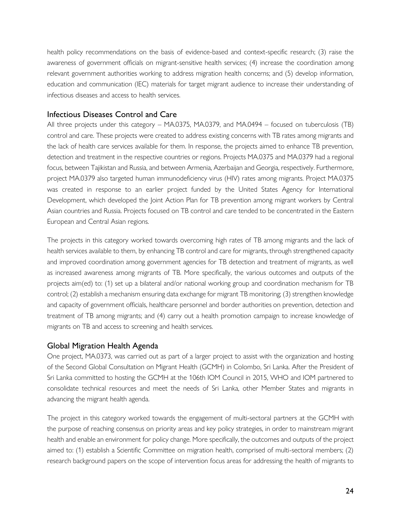health policy recommendations on the basis of evidence-based and context-specific research; (3) raise the awareness of government officials on migrant-sensitive health services; (4) increase the coordination among relevant government authorities working to address migration health concerns; and (5) develop information, education and communication (IEC) materials for target migrant audience to increase their understanding of infectious diseases and access to health services.

# <span id="page-23-0"></span>Infectious Diseases Control and Care

All three projects under this category – MA.0375, MA.0379, and MA.0494 – focused on tuberculosis (TB) control and care. These projects were created to address existing concerns with TB rates among migrants and the lack of health care services available for them. In response, the projects aimed to enhance TB prevention, detection and treatment in the respective countries or regions. Projects MA.0375 and MA.0379 had a regional focus, between Tajikistan and Russia, and between Armenia, Azerbaijan and Georgia, respectively. Furthermore, project MA.0379 also targeted human immunodeficiency virus (HIV) rates among migrants. Project MA.0375 was created in response to an earlier project funded by the United States Agency for International Development, which developed the Joint Action Plan for TB prevention among migrant workers by Central Asian countries and Russia. Projects focused on TB control and care tended to be concentrated in the Eastern European and Central Asian regions.

The projects in this category worked towards overcoming high rates of TB among migrants and the lack of health services available to them, by enhancing TB control and care for migrants, through strengthened capacity and improved coordination among government agencies for TB detection and treatment of migrants, as well as increased awareness among migrants of TB. More specifically, the various outcomes and outputs of the projects aim(ed) to: (1) set up a bilateral and/or national working group and coordination mechanism for TB control; (2) establish a mechanism ensuring data exchange for migrant TB monitoring; (3) strengthen knowledge and capacity of government officials, healthcare personnel and border authorities on prevention, detection and treatment of TB among migrants; and (4) carry out a health promotion campaign to increase knowledge of migrants on TB and access to screening and health services.

# <span id="page-23-1"></span>Global Migration Health Agenda

One project, MA.0373, was carried out as part of a larger project to assist with the organization and hosting of the Second Global Consultation on Migrant Health (GCMH) in Colombo, Sri Lanka. After the President of Sri Lanka committed to hosting the GCMH at the 106th IOM Council in 2015, WHO and IOM partnered to consolidate technical resources and meet the needs of Sri Lanka, other Member States and migrants in advancing the migrant health agenda.

The project in this category worked towards the engagement of multi-sectoral partners at the GCMH with the purpose of reaching consensus on priority areas and key policy strategies, in order to mainstream migrant health and enable an environment for policy change. More specifically, the outcomes and outputs of the project aimed to: (1) establish a Scientific Committee on migration health, comprised of multi-sectoral members; (2) research background papers on the scope of intervention focus areas for addressing the health of migrants to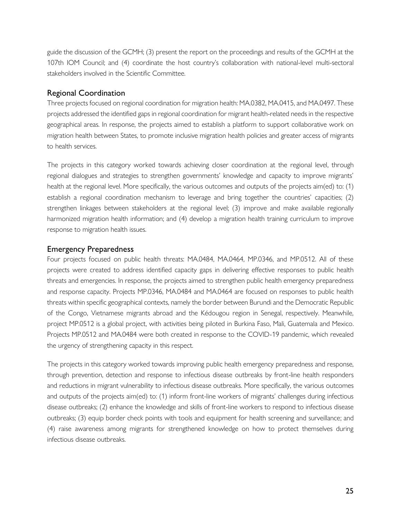guide the discussion of the GCMH; (3) present the report on the proceedings and results of the GCMH at the 107th IOM Council; and (4) coordinate the host country's collaboration with national-level multi-sectoral stakeholders involved in the Scientific Committee.

# <span id="page-24-0"></span>Regional Coordination

Three projects focused on regional coordination for migration health: MA.0382, MA.0415, and MA.0497. These projects addressed the identified gaps in regional coordination for migrant health-related needs in the respective geographical areas. In response, the projects aimed to establish a platform to support collaborative work on migration health between States, to promote inclusive migration health policies and greater access of migrants to health services.

The projects in this category worked towards achieving closer coordination at the regional level, through regional dialogues and strategies to strengthen governments' knowledge and capacity to improve migrants' health at the regional level. More specifically, the various outcomes and outputs of the projects aim(ed) to: (1) establish a regional coordination mechanism to leverage and bring together the countries' capacities; (2) strengthen linkages between stakeholders at the regional level; (3) improve and make available regionally harmonized migration health information; and (4) develop a migration health training curriculum to improve response to migration health issues.

# <span id="page-24-1"></span>Emergency Preparedness

Four projects focused on public health threats: MA.0484, MA.0464, MP.0346, and MP.0512. All of these projects were created to address identified capacity gaps in delivering effective responses to public health threats and emergencies. In response, the projects aimed to strengthen public health emergency preparedness and response capacity. Projects MP.0346, MA.0484 and MA.0464 are focused on responses to public health threats within specific geographical contexts, namely the border between Burundi and the Democratic Republic of the Congo, Vietnamese migrants abroad and the Kédougou region in Senegal, respectively. Meanwhile, project MP.0512 is a global project, with activities being piloted in Burkina Faso, Mali, Guatemala and Mexico. Projects MP.0512 and MA.0484 were both created in response to the COVID-19 pandemic, which revealed the urgency of strengthening capacity in this respect.

The projects in this category worked towards improving public health emergency preparedness and response, through prevention, detection and response to infectious disease outbreaks by front-line health responders and reductions in migrant vulnerability to infectious disease outbreaks. More specifically, the various outcomes and outputs of the projects aim(ed) to: (1) inform front-line workers of migrants' challenges during infectious disease outbreaks; (2) enhance the knowledge and skills of front-line workers to respond to infectious disease outbreaks; (3) equip border check points with tools and equipment for health screening and surveillance; and (4) raise awareness among migrants for strengthened knowledge on how to protect themselves during infectious disease outbreaks.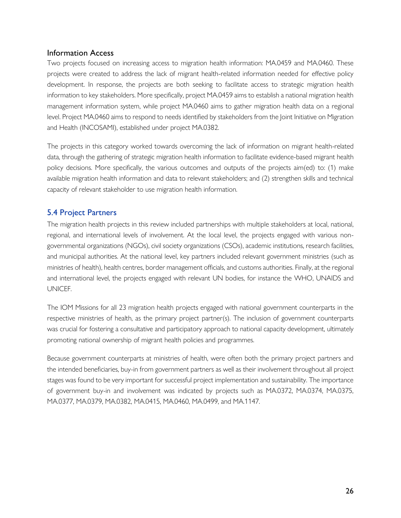# <span id="page-25-0"></span>Information Access

Two projects focused on increasing access to migration health information: MA.0459 and MA.0460. These projects were created to address the lack of migrant health-related information needed for effective policy development. In response, the projects are both seeking to facilitate access to strategic migration health information to key stakeholders. More specifically, project MA.0459 aims to establish a national migration health management information system, while project MA.0460 aims to gather migration health data on a regional level. Project MA.0460 aims to respond to needs identified by stakeholders from the Joint Initiative on Migration and Health (INCOSAMI), established under project MA.0382.

The projects in this category worked towards overcoming the lack of information on migrant health-related data, through the gathering of strategic migration health information to facilitate evidence-based migrant health policy decisions. More specifically, the various outcomes and outputs of the projects aim(ed) to: (1) make available migration health information and data to relevant stakeholders; and (2) strengthen skills and technical capacity of relevant stakeholder to use migration health information.

# <span id="page-25-1"></span>5.4 Project Partners

The migration health projects in this review included partnerships with multiple stakeholders at local, national, regional, and international levels of involvement. At the local level, the projects engaged with various nongovernmental organizations (NGOs), civil society organizations (CSOs), academic institutions, research facilities, and municipal authorities. At the national level, key partners included relevant government ministries (such as ministries of health), health centres, border management officials, and customs authorities. Finally, at the regional and international level, the projects engaged with relevant UN bodies, for instance the WHO, UNAIDS and UNICEF.

The IOM Missions for all 23 migration health projects engaged with national government counterparts in the respective ministries of health, as the primary project partner(s). The inclusion of government counterparts was crucial for fostering a consultative and participatory approach to national capacity development, ultimately promoting national ownership of migrant health policies and programmes.

Because government counterparts at ministries of health, were often both the primary project partners and the intended beneficiaries, buy-in from government partners as well as their involvement throughout all project stages was found to be very important for successful project implementation and sustainability. The importance of government buy-in and involvement was indicated by projects such as MA.0372, MA.0374, MA.0375, MA.0377, MA.0379, MA.0382, MA.0415, MA.0460, MA.0499, and MA.1147.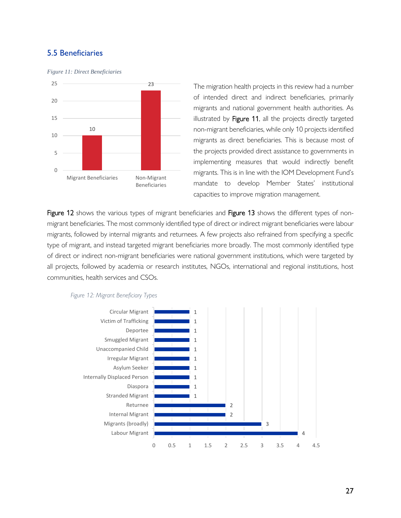# <span id="page-26-0"></span>5.5 Beneficiaries

*Figure 11: Direct Beneficiaries*



The migration health projects in this review had a number of intended direct and indirect beneficiaries, primarily migrants and national government health authorities. As illustrated by Figure 11, all the projects directly targeted non-migrant beneficiaries, while only 10 projects identified migrants as direct beneficiaries. This is because most of the projects provided direct assistance to governments in implementing measures that would indirectly benefit migrants. This is in line with the IOM Development Fund's mandate to develop Member States' institutional capacities to improve migration management.

Figure 12 shows the various types of migrant beneficiaries and Figure 13 shows the different types of nonmigrant beneficiaries. The most commonly identified type of direct or indirect migrant beneficiaries were labour migrants, followed by internal migrants and returnees. A few projects also refrained from specifying a specific type of migrant, and instead targeted migrant beneficiaries more broadly. The most commonly identified type of direct or indirect non-migrant beneficiaries were national government institutions, which were targeted by all projects, followed by academia or research institutes, NGOs, international and regional institutions, host communities, health services and CSOs.



*Figure 12: Migrant Beneficiary Types*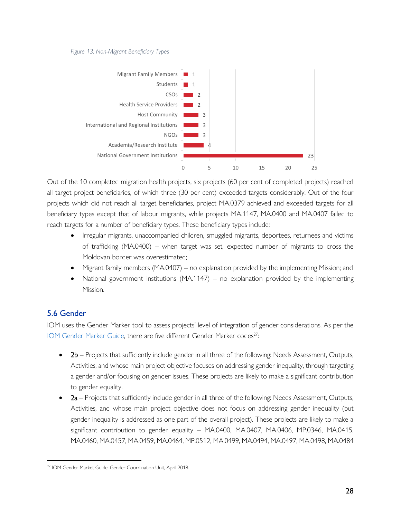#### *Figure 13: Non-Migrant Beneficiary Types*



Out of the 10 completed migration health projects, six projects (60 per cent of completed projects) reached all target project beneficiaries, of which three (30 per cent) exceeded targets considerably. Out of the four projects which did not reach all target beneficiaries, project MA.0379 achieved and exceeded targets for all beneficiary types except that of labour migrants, while projects MA.1147, MA.0400 and MA.0407 failed to reach targets for a number of beneficiary types. These beneficiary types include:

- Irregular migrants, unaccompanied children, smuggled migrants, deportees, returnees and victims of trafficking (MA.0400) – when target was set, expected number of migrants to cross the Moldovan border was overestimated;
- Migrant family members (MA.0407) no explanation provided by the implementing Mission; and
- National government institutions (MA.1147) no explanation provided by the implementing Mission.

# <span id="page-27-0"></span>5.6 Gender

IOM uses the Gender Marker tool to assess projects' level of integration of gender considerations. As per the [IOM Gender Marker Guide,](https://intranetportal/Pages/ControlNo.aspx?controlNo=MA/GCU/00010) there are five different Gender Marker codes<sup>27</sup>:

- 2b Projects that sufficiently include gender in all three of the following: Needs Assessment, Outputs, Activities, and whose main project objective focuses on addressing gender inequality, through targeting a gender and/or focusing on gender issues. These projects are likely to make a significant contribution to gender equality.
- 2a Projects that sufficiently include gender in all three of the following: Needs Assessment, Outputs, Activities, and whose main project objective does not focus on addressing gender inequality (but gender inequality is addressed as one part of the overall project). These projects are likely to make a significant contribution to gender equality – MA.0400, MA.0407, MA.0406, MP.0346, MA.0415, MA.0460, MA.0457, MA.0459, MA.0464, MP.0512, MA.0499, MA.0494, MA.0497, MA.0498, MA.0484

<sup>27</sup> IOM Gender Market Guide, Gender Coordination Unit, April 2018.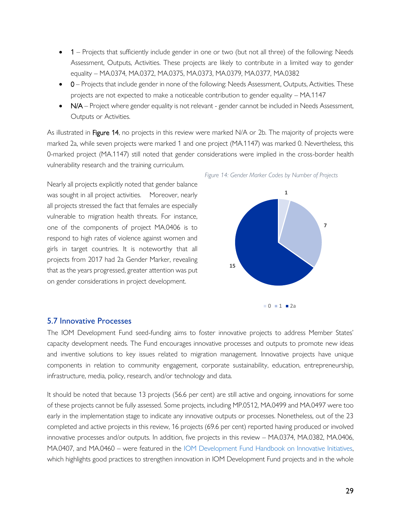- 1 Projects that sufficiently include gender in one or two (but not all three) of the following: Needs Assessment, Outputs, Activities. These projects are likely to contribute in a limited way to gender equality – MA.0374, MA.0372, MA.0375, MA.0373, MA.0379, MA.0377, MA.0382
- 0 Projects that include gender in none of the following: Needs Assessment, Outputs, Activities. These projects are not expected to make a noticeable contribution to gender equality – MA.1147
- N/A Project where gender equality is not relevant gender cannot be included in Needs Assessment, Outputs or Activities.

As illustrated in Figure 14, no projects in this review were marked N/A or 2b. The majority of projects were marked 2a, while seven projects were marked 1 and one project (MA.1147) was marked 0. Nevertheless, this 0-marked project (MA.1147) still noted that gender considerations were implied in the cross-border health vulnerability research and the training curriculum.

Nearly all projects explicitly noted that gender balance was sought in all project activities. Moreover, nearly all projects stressed the fact that females are especially vulnerable to migration health threats. For instance, one of the components of project MA.0406 is to respond to high rates of violence against women and girls in target countries. It is noteworthy that all projects from 2017 had 2a Gender Marker, revealing that as the years progressed, greater attention was put on gender considerations in project development.



 *Figure 14: Gender Marker Codes by Number of Projects*

#### <span id="page-28-0"></span>5.7 Innovative Processes

The IOM Development Fund seed-funding aims to foster innovative projects to address Member States' capacity development needs. The Fund encourages innovative processes and outputs to promote new ideas and inventive solutions to key issues related to migration management. Innovative projects have unique components in relation to community engagement, corporate sustainability, education, entrepreneurship, infrastructure, media, policy, research, and/or technology and data.

It should be noted that because 13 projects (56.6 per cent) are still active and ongoing, innovations for some of these projects cannot be fully assessed. Some projects, including MP.0512, MA.0499 and MA.0497 were too early in the implementation stage to indicate any innovative outputs or processes. Nonetheless, out of the 23 completed and active projects in this review, 16 projects (69.6 per cent) reported having produced or involved innovative processes and/or outputs. In addition, five projects in this review – MA.0374, MA.0382, MA.0406, MA.0407, and MA.0460 – were featured in the [IOM Development Fund Handbook on Innovative Initiatives,](https://developmentfund.iom.int/sites/devfund/files/documents/Innovative-Initiatives-IOM-Development-Fund.pdf) which highlights good practices to strengthen innovation in IOM Development Fund projects and in the whole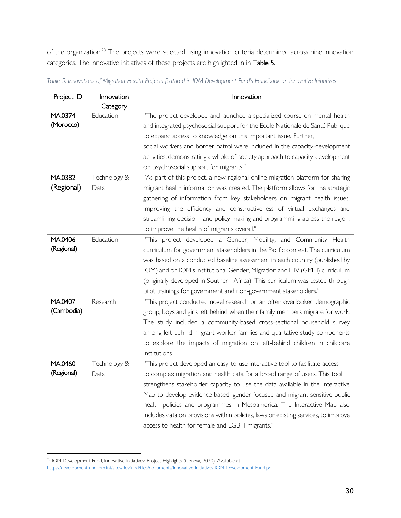of the organization.<sup>28</sup> The projects were selected using innovation criteria determined across nine innovation categories. The innovative initiatives of these projects are highlighted in in Table 5.

| Project ID | Innovation   | Innovation                                                                         |
|------------|--------------|------------------------------------------------------------------------------------|
|            | Category     |                                                                                    |
| MA0374     | Education    | "The project developed and launched a specialized course on mental health          |
| (Morocco)  |              | and integrated psychosocial support for the Ecole Nationale de Santé Publique      |
|            |              | to expand access to knowledge on this important issue. Further,                    |
|            |              | social workers and border patrol were included in the capacity-development         |
|            |              | activities, demonstrating a whole-of-society approach to capacity-development      |
|            |              | on psychosocial support for migrants."                                             |
| MA.0382    | Technology & | "As part of this project, a new regional online migration platform for sharing     |
| (Regional) | Data         | migrant health information was created. The platform allows for the strategic      |
|            |              | gathering of information from key stakeholders on migrant health issues,           |
|            |              | improving the efficiency and constructiveness of virtual exchanges and             |
|            |              | streamlining decision- and policy-making and programming across the region,        |
|            |              | to improve the health of migrants overall."                                        |
| MA.0406    | Education    | "This project developed a Gender, Mobility, and Community Health                   |
| (Regional) |              | curriculum for government stakeholders in the Pacific context. The curriculum      |
|            |              | was based on a conducted baseline assessment in each country (published by         |
|            |              | IOM) and on IOM's institutional Gender, Migration and HIV (GMH) curriculum         |
|            |              | (originally developed in Southern Africa). This curriculum was tested through      |
|            |              | pilot trainings for government and non-government stakeholders."                   |
| MA.0407    | Research     | "This project conducted novel research on an often overlooked demographic          |
| (Cambodia) |              | group, boys and girls left behind when their family members migrate for work.      |
|            |              | The study included a community-based cross-sectional household survey              |
|            |              | among left-behind migrant worker families and qualitative study components         |
|            |              | to explore the impacts of migration on left-behind children in childcare           |
|            |              | institutions."                                                                     |
| MA.0460    | Technology & | "This project developed an easy-to-use interactive tool to facilitate access       |
| (Regional) | Data         | to complex migration and health data for a broad range of users. This tool         |
|            |              | strengthens stakeholder capacity to use the data available in the Interactive      |
|            |              | Map to develop evidence-based, gender-focused and migrant-sensitive public         |
|            |              | health policies and programmes in Mesoamerica. The Interactive Map also            |
|            |              | includes data on provisions within policies, laws or existing services, to improve |
|            |              | access to health for female and LGBTI migrants."                                   |

*Table 5: Innovations of Migration Health Projects featured in IOM Development Fund's Handbook on Innovative Initiatives*

<sup>&</sup>lt;sup>28</sup> IOM Development Fund, Innovative Initiatives: Project Highlights (Geneva, 2020). Available at <https://developmentfund.iom.int/sites/devfund/files/documents/Innovative-Initiatives-IOM-Development-Fund.pdf>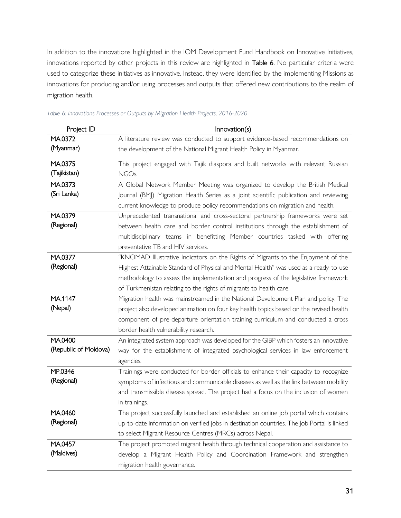In addition to the innovations highlighted in the IOM Development Fund Handbook on Innovative Initiatives, innovations reported by other projects in this review are highlighted in Table 6. No particular criteria were used to categorize these initiatives as innovative. Instead, they were identified by the implementing Missions as innovations for producing and/or using processes and outputs that offered new contributions to the realm of migration health.

| Project ID            | Innovation(s)                                                                              |
|-----------------------|--------------------------------------------------------------------------------------------|
| MA.0372               | A literature review was conducted to support evidence-based recommendations on             |
| (Myanmar)             | the development of the National Migrant Health Policy in Myanmar.                          |
| MA.0375               | This project engaged with Tajik diaspora and built networks with relevant Russian          |
| (Tajikistan)          | NGO <sub>s.</sub>                                                                          |
| MA.0373               | A Global Network Member Meeting was organized to develop the British Medical               |
| (Sri Lanka)           | Journal (BMJ) Migration Health Series as a joint scientific publication and reviewing      |
|                       | current knowledge to produce policy recommendations on migration and health.               |
| MA.0379               | Unprecedented transnational and cross-sectoral partnership frameworks were set             |
| (Regional)            | between health care and border control institutions through the establishment of           |
|                       | multidisciplinary teams in benefitting Member countries tasked with offering               |
|                       | preventative TB and HIV services.                                                          |
| MA.0377               | "KNOMAD Illustrative Indicators on the Rights of Migrants to the Enjoyment of the          |
| (Regional)            | Highest Attainable Standard of Physical and Mental Health" was used as a ready-to-use      |
|                       | methodology to assess the implementation and progress of the legislative framework         |
|                       | of Turkmenistan relating to the rights of migrants to health care.                         |
| MA <sub>1147</sub>    | Migration health was mainstreamed in the National Development Plan and policy. The         |
| (Nepal)               | project also developed animation on four key health topics based on the revised health     |
|                       | component of pre-departure orientation training curriculum and conducted a cross           |
|                       | border health vulnerability research.                                                      |
| MA.0400               | An integrated system approach was developed for the GIBP which fosters an innovative       |
| (Republic of Moldova) | way for the establishment of integrated psychological services in law enforcement          |
|                       | agencies.                                                                                  |
| MP.0346               | Trainings were conducted for border officials to enhance their capacity to recognize       |
| (Regional)            | symptoms of infectious and communicable diseases as well as the link between mobility      |
|                       | and transmissible disease spread. The project had a focus on the inclusion of women        |
|                       | in trainings.                                                                              |
| MA.0460               | The project successfully launched and established an online job portal which contains      |
| (Regional)            | up-to-date information on verified jobs in destination countries. The Job Portal is linked |
|                       | to select Migrant Resource Centres (MRCs) across Nepal.                                    |
| MA0457                | The project promoted migrant health through technical cooperation and assistance to        |
| (Maldives)            | develop a Migrant Health Policy and Coordination Framework and strengthen                  |
|                       | migration health governance.                                                               |

*Table 6: Innovations Processes or Outputs by Migration Health Projects, 2016-2020*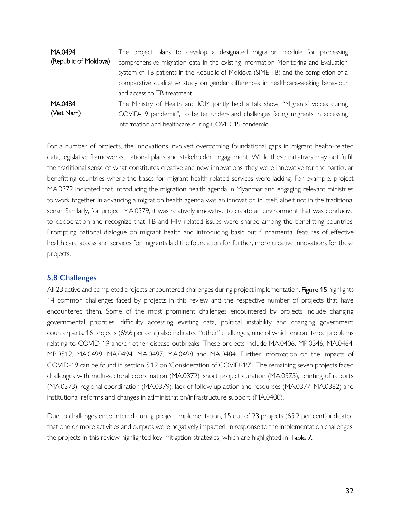| MA0494                | The project plans to develop a designated migration module for processing           |
|-----------------------|-------------------------------------------------------------------------------------|
| (Republic of Moldova) | comprehensive migration data in the existing Information Monitoring and Evaluation  |
|                       | system of TB patients in the Republic of Moldova (SIME TB) and the completion of a  |
|                       | comparative qualitative study on gender differences in healthcare-seeking behaviour |
|                       | and access to TB treatment.                                                         |
| MA0484                | The Ministry of Health and IOM jointly held a talk show, "Migrants' voices during   |
| (Viet Nam)            | COVID-19 pandemic", to better understand challenges facing migrants in accessing    |
|                       | information and healthcare during COVID-19 pandemic.                                |

For a number of projects, the innovations involved overcoming foundational gaps in migrant health-related data, legislative frameworks, national plans and stakeholder engagement. While these initiatives may not fulfill the traditional sense of what constitutes creative and new innovations, they were innovative for the particular benefitting countries where the bases for migrant health-related services were lacking. For example, project MA.0372 indicated that introducing the migration health agenda in Myanmar and engaging relevant ministries to work together in advancing a migration health agenda was an innovation in itself, albeit not in the traditional sense. Similarly, for project MA.0379, it was relatively innovative to create an environment that was conducive to cooperation and recognize that TB and HIV-related issues were shared among the benefitting countries. Prompting national dialogue on migrant health and introducing basic but fundamental features of effective health care access and services for migrants laid the foundation for further, more creative innovations for these projects.

# <span id="page-31-0"></span>5.8 Challenges

All 23 active and completed projects encountered challenges during project implementation. Figure 15 highlights 14 common challenges faced by projects in this review and the respective number of projects that have encountered them. Some of the most prominent challenges encountered by projects include changing governmental priorities, difficulty accessing existing data, political instability and changing government counterparts. 16 projects (69.6 per cent) also indicated "other" challenges, nine of which encountered problems relating to COVID-19 and/or other disease outbreaks. These projects include MA.0406, MP.0346, MA.0464, MP.0512, MA.0499, MA.0494, MA.0497, MA.0498 and MA.0484. Further information on the impacts of COVID-19 can be found in section 5.12 on 'Consideration of COVID-19'. The remaining seven projects faced challenges with multi-sectoral coordination (MA.0372), short project duration (MA.0375), printing of reports (MA.0373), regional coordination (MA.0379), lack of follow up action and resources (MA.0377, MA.0382) and institutional reforms and changes in administration/infrastructure support (MA.0400).

Due to challenges encountered during project implementation, 15 out of 23 projects (65.2 per cent) indicated that one or more activities and outputs were negatively impacted. In response to the implementation challenges, the projects in this review highlighted key mitigation strategies, which are highlighted in Table 7.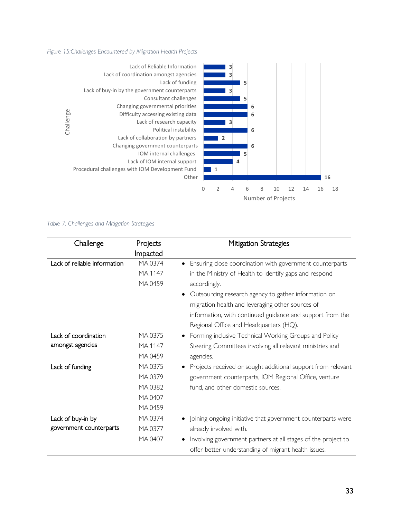#### *Figure 15:Challenges Encountered by Migration Health Projects*



#### *Table 7: Challenges and Mitigation Strategies*

| Challenge                    | Projects | Mitigation Strategies                                         |
|------------------------------|----------|---------------------------------------------------------------|
|                              | Impacted |                                                               |
| Lack of reliable information | MA.0374  | Ensuring close coordination with government counterparts      |
|                              | MA.1147  | in the Ministry of Health to identify gaps and respond        |
|                              | MA.0459  | accordingly.                                                  |
|                              |          | Outsourcing research agency to gather information on          |
|                              |          | migration health and leveraging other sources of              |
|                              |          | information, with continued guidance and support from the     |
|                              |          | Regional Office and Headquarters (HQ).                        |
| Lack of coordination         | MA.0375  | Forming inclusive Technical Working Groups and Policy         |
| amongst agencies             | MA.1147  | Steering Committees involving all relevant ministries and     |
|                              | MA.0459  | agencies.                                                     |
| Lack of funding              | MA.0375  | Projects received or sought additional support from relevant  |
|                              | MA.0379  | government counterparts, IOM Regional Office, venture         |
|                              | MA.0382  | fund, and other domestic sources.                             |
|                              | MA.0407  |                                                               |
|                              | MA.0459  |                                                               |
| Lack of buy-in by            | MA.0374  | Joining ongoing initiative that government counterparts were  |
| government counterparts      | MA.0377  | already involved with.                                        |
|                              | MA.0407  | Involving government partners at all stages of the project to |
|                              |          | offer better understanding of migrant health issues.          |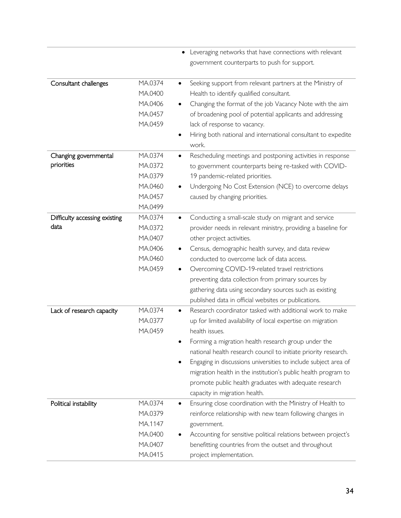|                               |         | Leveraging networks that have connections with relevant                  |
|-------------------------------|---------|--------------------------------------------------------------------------|
|                               |         | government counterparts to push for support.                             |
|                               |         |                                                                          |
| Consultant challenges         | MA.0374 | Seeking support from relevant partners at the Ministry of<br>٠           |
|                               | MA.0400 | Health to identify qualified consultant.                                 |
|                               | MA.0406 | Changing the format of the job Vacancy Note with the aim<br>٠            |
|                               | MA.0457 | of broadening pool of potential applicants and addressing                |
|                               | MA.0459 | lack of response to vacancy.                                             |
|                               |         | Hiring both national and international consultant to expedite            |
|                               |         | work.                                                                    |
| Changing governmental         | MA.0374 | Rescheduling meetings and postponing activities in response<br>$\bullet$ |
| priorities                    | MA.0372 | to government counterparts being re-tasked with COVID-                   |
|                               | MA.0379 | 19 pandemic-related priorities.                                          |
|                               | MA.0460 | Undergoing No Cost Extension (NCE) to overcome delays<br>٠               |
|                               | MA.0457 | caused by changing priorities.                                           |
|                               | MA.0499 |                                                                          |
| Difficulty accessing existing | MA.0374 | Conducting a small-scale study on migrant and service<br>$\bullet$       |
| data                          | MA.0372 | provider needs in relevant ministry, providing a baseline for            |
|                               | MA.0407 | other project activities.                                                |
|                               | MA.0406 | Census, demographic health survey, and data review<br>$\bullet$          |
|                               | MA.0460 | conducted to overcome lack of data access.                               |
|                               | MA.0459 | Overcoming COVID-19-related travel restrictions<br>$\bullet$             |
|                               |         | preventing data collection from primary sources by                       |
|                               |         | gathering data using secondary sources such as existing                  |
|                               |         | published data in official websites or publications.                     |
| Lack of research capacity     | MA.0374 | Research coordinator tasked with additional work to make                 |
|                               | MA.0377 | up for limited availability of local expertise on migration              |
|                               | MA.0459 | health issues.                                                           |
|                               |         | Forming a migration health research group under the                      |
|                               |         | national health research council to initiate priority research.          |
|                               |         | Engaging in discussions universities to include subject area of          |
|                               |         | migration health in the institution's public health program to           |
|                               |         | promote public health graduates with adequate research                   |
|                               |         | capacity in migration health.                                            |
| Political instability         | MA.0374 | Ensuring close coordination with the Ministry of Health to<br>$\bullet$  |
|                               | MA.0379 | reinforce relationship with new team following changes in                |
|                               | MA.1147 | government.                                                              |
|                               | MA.0400 | Accounting for sensitive political relations between project's           |
|                               | MA.0407 | benefitting countries from the outset and throughout                     |
|                               | MA.0415 | project implementation.                                                  |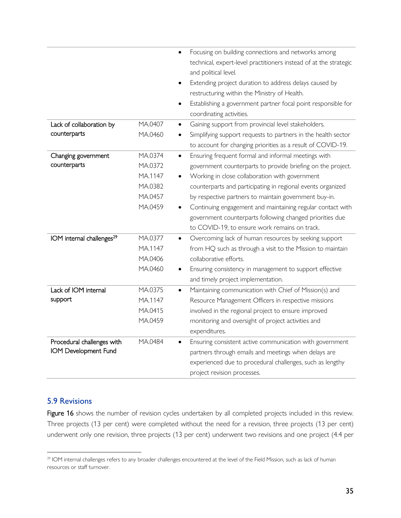|                                       |         | Focusing on building connections and networks among                                       |
|---------------------------------------|---------|-------------------------------------------------------------------------------------------|
|                                       |         | technical, expert-level practitioners instead of at the strategic<br>and political level. |
|                                       |         | Extending project duration to address delays caused by<br>$\bullet$                       |
|                                       |         | restructuring within the Ministry of Health.                                              |
|                                       |         | Establishing a government partner focal point responsible for<br>$\bullet$                |
|                                       |         | coordinating activities.                                                                  |
| Lack of collaboration by              | MA.0407 | Gaining support from provincial level stakeholders.<br>$\bullet$                          |
| counterparts                          | MA.0460 | Simplifying support requests to partners in the health sector<br>٠                        |
|                                       |         | to account for changing priorities as a result of COVID-19.                               |
| Changing government                   | MA.0374 | Ensuring frequent formal and informal meetings with<br>$\bullet$                          |
| counterparts                          | MA.0372 | government counterparts to provide briefing on the project.                               |
|                                       | MA.1147 | Working in close collaboration with government<br>$\bullet$                               |
|                                       | MA.0382 | counterparts and participating in regional events organized                               |
|                                       | MA.0457 | by respective partners to maintain government buy-in.                                     |
|                                       | MA.0459 | Continuing engagement and maintaining regular contact with<br>$\bullet$                   |
|                                       |         | government counterparts following changed priorities due                                  |
|                                       |         | to COVID-19, to ensure work remains on track.                                             |
| IOM internal challenges <sup>29</sup> | MA.0377 | Overcoming lack of human resources by seeking support<br>$\bullet$                        |
|                                       | MA.1147 | from HQ such as through a visit to the Mission to maintain                                |
|                                       | MA.0406 | collaborative efforts.                                                                    |
|                                       | MA.0460 | Ensuring consistency in management to support effective<br>٠                              |
|                                       |         | and timely project implementation.                                                        |
| Lack of IOM internal                  | MA.0375 | Maintaining communication with Chief of Mission(s) and<br>$\bullet$                       |
| support                               | MA.1147 | Resource Management Officers in respective missions                                       |
|                                       | MA.0415 | involved in the regional project to ensure improved                                       |
|                                       | MA.0459 | monitoring and oversight of project activities and                                        |
|                                       |         | expenditures.                                                                             |
| Procedural challenges with            | MA.0484 | Ensuring consistent active communication with government                                  |
| IOM Development Fund                  |         | partners through emails and meetings when delays are                                      |
|                                       |         | experienced due to procedural challenges, such as lengthy                                 |
|                                       |         | project revision processes.                                                               |

# <span id="page-34-0"></span>5.9 Revisions

Figure 16 shows the number of revision cycles undertaken by all completed projects included in this review. Three projects (13 per cent) were completed without the need for a revision, three projects (13 per cent) underwent only one revision, three projects (13 per cent) underwent two revisions and one project (4.4 per

<sup>&</sup>lt;sup>29</sup> IOM internal challenges refers to any broader challenges encountered at the level of the Field Mission, such as lack of human resources or staff turnover.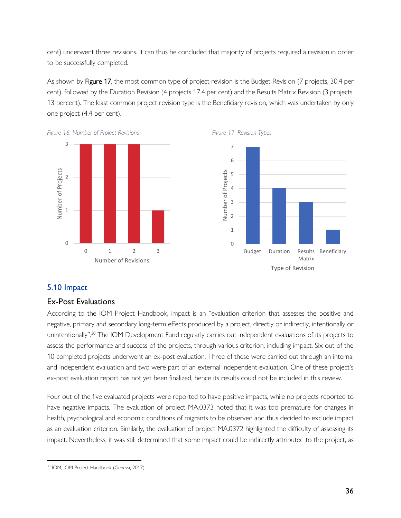cent) underwent three revisions. It can thus be concluded that majority of projects required a revision in order to be successfully completed.

As shown by Figure 17, the most common type of project revision is the Budget Revision (7 projects, 30.4 per cent), followed by the Duration Revision (4 projects 17.4 per cent) and the Results Matrix Revision (3 projects, 13 percent). The least common project revision type is the Beneficiary revision, which was undertaken by only one project (4.4 per cent).









# <span id="page-35-0"></span>5.10 Impact

# <span id="page-35-1"></span>Ex-Post Evaluations

According to the IOM Project Handbook, impact is an "evaluation criterion that assesses the positive and negative, primary and secondary long-term effects produced by a project, directly or indirectly, intentionally or unintentionally".<sup>30</sup> The IOM Development Fund regularly carries out independent evaluations of its projects to assess the performance and success of the projects, through various criterion, including impact. Six out of the 10 completed projects underwent an ex-post evaluation. Three of these were carried out through an internal and independent evaluation and two were part of an external independent evaluation. One of these project's ex-post evaluation report has not yet been finalized, hence its results could not be included in this review.

Four out of the five evaluated projects were reported to have positive impacts, while no projects reported to have negative impacts. The evaluation of project MA.0373 noted that it was too premature for changes in health, psychological and economic conditions of migrants to be observed and thus decided to exclude impact as an evaluation criterion. Similarly, the evaluation of project MA.0372 highlighted the difficulty of assessing its impact. Nevertheless, it was still determined that some impact could be indirectly attributed to the project, as

<sup>30</sup> IOM, IOM Project Handbook (Geneva, 2017).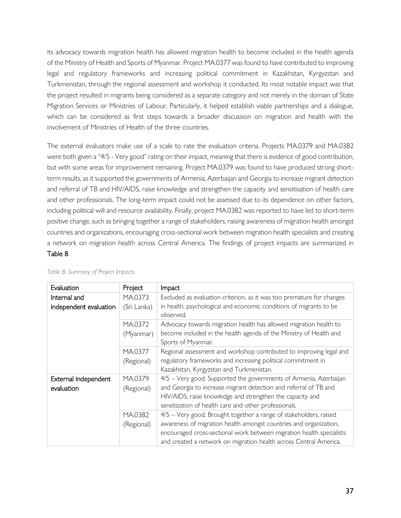its advocacy towards migration health has allowed migration health to become included in the health agenda of the Ministry of Health and Sports of Myanmar. Project MA.0377 was found to have contributed to improving legal and regulatory frameworks and increasing political commitment in Kazakhstan, Kyrgyzstan and Turkmenistan, through the regional assessment and workshop it conducted. Its most notable impact was that the project resulted in migrants being considered as a separate category and not merely in the domain of State Migration Services or Ministries of Labour. Particularly, it helped establish viable partnerships and a dialogue, which can be considered as first steps towards a broader discussion on migration and health with the involvement of Ministries of Health of the three countries.

The external evaluators make use of a scale to rate the evaluation criteria. Projects MA.0379 and MA.0382 were both given a "4/5 - Very good" rating on their impact, meaning that there is evidence of good contribution, but with some areas for improvement remaining. Project MA.0379 was found to have produced strong shortterm results, as it supported the governments of Armenia, Azerbaijan and Georgia to increase migrant detection and referral of TB and HIV/AIDS, raise knowledge and strengthen the capacity and sensitisation of health care and other professionals. The long-term impact could not be assessed due to its dependence on other factors, including political will and resource availability. Finally, project MA.0382 was reported to have led to short-term positive change, such as bringing together a range of stakeholders, raising awareness of migration health amongst countries and organizations, encouraging cross-sectional work between migration health specialists and creating a network on migration health across Central America. The findings of project impacts are summarized in Table 8.

| Evaluation                             | Project                | <b>Impact</b>                                                                                                                                                                                                                                                                       |
|----------------------------------------|------------------------|-------------------------------------------------------------------------------------------------------------------------------------------------------------------------------------------------------------------------------------------------------------------------------------|
| Internal and<br>independent evaluation | MA.0373<br>(Sri Lanka) | Excluded as evaluation criterion, as it was too premature for changes<br>in health, psychological and economic conditions of migrants to be<br>observed.                                                                                                                            |
|                                        | MA.0372<br>(Myanmar)   | Advocacy towards migration health has allowed migration health to<br>become included in the health agenda of the Ministry of Health and<br>Sports of Myanmar.                                                                                                                       |
|                                        | MA.0377<br>(Regional)  | Regional assessment and workshop contributed to improving legal and<br>regulatory frameworks and increasing political commitment in<br>Kazakhstan, Kyrgyzstan and Turkmenistan.                                                                                                     |
| External independent<br>evaluation     | MA.0379<br>(Regional)  | 4/5 - Very good. Supported the governments of Armenia, Azerbaijan<br>and Georgia to increase migrant detection and referral of TB and<br>HIV/AIDS, raise knowledge and strengthen the capacity and<br>sensitization of health care and other professionals.                         |
|                                        | MA.0382<br>(Regional)  | 4/5 - Very good. Brought together a range of stakeholders, raised<br>awareness of migration health amongst countries and organization,<br>encouraged cross-sectional work between migration health specialists<br>and created a network on migration health across Central America. |

#### *Table 8: Summary of Project Impacts*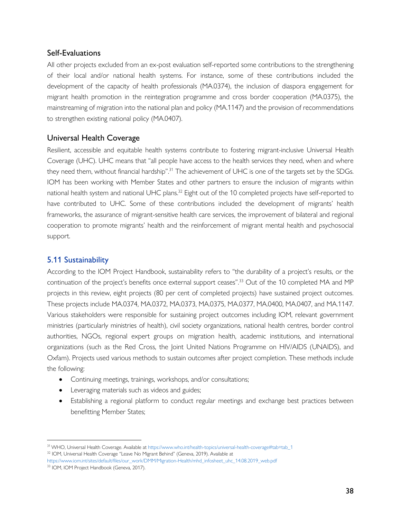# <span id="page-37-0"></span>Self-Evaluations

All other projects excluded from an ex-post evaluation self-reported some contributions to the strengthening of their local and/or national health systems. For instance, some of these contributions included the development of the capacity of health professionals (MA.0374), the inclusion of diaspora engagement for migrant health promotion in the reintegration programme and cross border cooperation (MA.0375), the mainstreaming of migration into the national plan and policy (MA.1147) and the provision of recommendations to strengthen existing national policy (MA.0407).

# <span id="page-37-1"></span>Universal Health Coverage

Resilient, accessible and equitable health systems contribute to fostering migrant-inclusive Universal Health Coverage (UHC). UHC means that "all people have access to the health services they need, when and where they need them, without financial hardship".<sup>31</sup> The achievement of UHC is one of the targets set by the SDGs. IOM has been working with Member States and other partners to ensure the inclusion of migrants within national health system and national UHC plans.<sup>32</sup> Eight out of the 10 completed projects have self-reported to have contributed to UHC. Some of these contributions included the development of migrants' health frameworks, the assurance of migrant-sensitive health care services, the improvement of bilateral and regional cooperation to promote migrants' health and the reinforcement of migrant mental health and psychosocial support.

# <span id="page-37-2"></span>5.11 Sustainability

According to the IOM Project Handbook, sustainability refers to "the durability of a project's results, or the continuation of the project's benefits once external support ceases".<sup>33</sup> Out of the 10 completed MA and MP projects in this review, eight projects (80 per cent of completed projects) have sustained project outcomes. These projects include MA.0374, MA.0372, MA.0373, MA.0375, MA.0377, MA.0400, MA.0407, and MA.1147. Various stakeholders were responsible for sustaining project outcomes including IOM, relevant government ministries (particularly ministries of health), civil society organizations, national health centres, border control authorities, NGOs, regional expert groups on migration health, academic institutions, and international organizations (such as the Red Cross, the Joint United Nations Programme on HIV/AIDS (UNAIDS), and Oxfam). Projects used various methods to sustain outcomes after project completion. These methods include the following:

- Continuing meetings, trainings, workshops, and/or consultations;
- Leveraging materials such as videos and guides;
- Establishing a regional platform to conduct regular meetings and exchange best practices between benefitting Member States;

<sup>&</sup>lt;sup>31</sup> WHO, Universal Health Coverage. Available a[t https://www.who.int/health-topics/universal-health-coverage#tab=tab\\_1](https://www.who.int/health-topics/universal-health-coverage#tab=tab_1) <sup>32</sup> IOM, Universal Health Coverage "Leave No Migrant Behind" (Geneva, 2019). Available at

[https://www.iom.int/sites/default/files/our\\_work/DMM/Migration-Health/mhd\\_infosheet\\_uhc\\_14.08.2019\\_web.pdf](https://www.iom.int/sites/default/files/our_work/DMM/Migration-Health/mhd_infosheet_uhc_14.08.2019_web.pdf) <sup>33</sup> IOM, IOM Project Handbook (Geneva, 2017).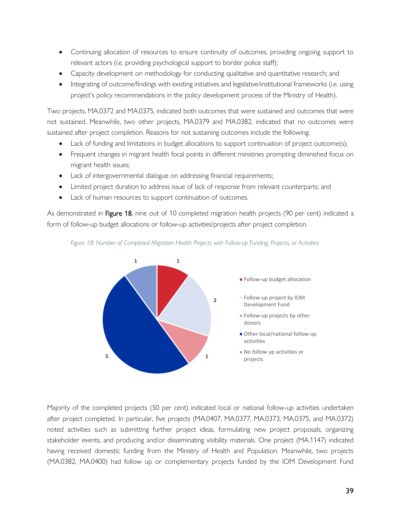- Continuing allocation of resources to ensure continuity of outcomes, providing ongoing support to relevant actors (i.e. providing psychological support to border police staff);
- Capacity development on methodology for conducting qualitative and quantitative research; and
- Integrating of outcome/findings with existing initiatives and legislative/institutional frameworks (i.e. using project's policy recommendations in the policy development process of the Ministry of Health).

Two projects, MA.0372 and MA.0375, indicated both outcomes that were sustained and outcomes that were not sustained. Meanwhile, two other projects, MA.0379 and MA.0382, indicated that no outcomes were sustained after project completion. Reasons for not sustaining outcomes include the following:

- Lack of funding and limitations in budget allocations to support continuation of project outcome(s);
- Frequent changes in migrant health focal points in different ministries prompting diminished focus on migrant health issues;
- Lack of intergovernmental dialogue on addressing financial requirements;
- Limited project duration to address issue of lack of response from relevant counterparts; and
- Lack of human resources to support continuation of outcomes.

As demonstrated in Figure 18, nine out of 10 completed migration health projects (90 per cent) indicated a form of follow-up budget allocations or follow-up activities/projects after project completion.





Majority of the completed projects (50 per cent) indicated local or national follow-up activities undertaken after project completed. In particular, five projects (MA.0407, MA.0377, MA.0373, MA.0375, and MA.0372) noted activities such as submitting further project ideas, formulating new project proposals, organizing stakeholder events, and producing and/or disseminating visibility materials. One project (MA.1147) indicated having received domestic funding from the Ministry of Health and Population. Meanwhile, two projects (MA.0382, MA.0400) had follow up or complementary projects funded by the IOM Development Fund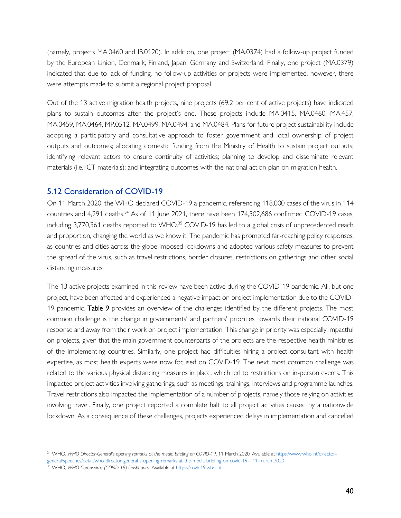(namely, projects MA.0460 and IB.0120). In addition, one project (MA.0374) had a follow-up project funded by the European Union, Denmark, Finland, Japan, Germany and Switzerland. Finally, one project (MA.0379) indicated that due to lack of funding, no follow-up activities or projects were implemented, however, there were attempts made to submit a regional project proposal.

Out of the 13 active migration health projects, nine projects (69.2 per cent of active projects) have indicated plans to sustain outcomes after the project's end. These projects include MA.0415, MA.0460, MA.457, MA.0459, MA.0464, MP.0512, MA.0499, MA.0494, and MA.0484. Plans for future project sustainability include adopting a participatory and consultative approach to foster government and local ownership of project outputs and outcomes; allocating domestic funding from the Ministry of Health to sustain project outputs; identifying relevant actors to ensure continuity of activities; planning to develop and disseminate relevant materials (i.e. ICT materials); and integrating outcomes with the national action plan on migration health.

# <span id="page-39-0"></span>5.12 Consideration of COVID-19

On 11 March 2020, the WHO declared COVID-19 a pandemic, referencing 118,000 cases of the virus in 114 countries and 4,291 deaths.<sup>34</sup> As of 11 June 2021, there have been 174,502,686 confirmed COVID-19 cases, including  $3,770,361$  deaths reported to WHO.<sup>35</sup> COVID-19 has led to a global crisis of unprecedented reach and proportion, changing the world as we know it. The pandemic has prompted far-reaching policy responses, as countries and cities across the globe imposed lockdowns and adopted various safety measures to prevent the spread of the virus, such as travel restrictions, border closures, restrictions on gatherings and other social distancing measures.

The 13 active projects examined in this review have been active during the COVID-19 pandemic. All, but one project, have been affected and experienced a negative impact on project implementation due to the COVID-19 pandemic. Table 9 provides an overview of the challenges identified by the different projects. The most common challenge is the change in governments' and partners' priorities towards their national COVID-19 response and away from their work on project implementation. This change in priority was especially impactful on projects, given that the main government counterparts of the projects are the respective health ministries of the implementing countries. Similarly, one project had difficulties hiring a project consultant with health expertise, as most health experts were now focused on COVID-19. The next most common challenge was related to the various physical distancing measures in place, which led to restrictions on in-person events. This impacted project activities involving gatherings, such as meetings, trainings, interviews and programme launches. Travel restrictions also impacted the implementation of a number of projects, namely those relying on activities involving travel. Finally, one project reported a complete halt to all project activities caused by a nationwide lockdown. As a consequence of these challenges, projects experienced delays in implementation and cancelled

<sup>34</sup> WHO, *WHO Director-General's opening remarks at the media briefing on COVID-19*, 11 March 2020. Available at [https://www.who.int/director](https://www.who.int/director-general/speeches/detail/who-director-general-s-opening-remarks-at-the-media-briefing-on-covid-19---11-march-2020)[general/speeches/detail/who-director-general-s-opening-remarks-at-the-media-briefing-on-covid-19---11-march-2020](https://www.who.int/director-general/speeches/detail/who-director-general-s-opening-remarks-at-the-media-briefing-on-covid-19---11-march-2020)

<sup>35</sup> WHO, *WHO Coronavirus (COVID-19) Dashboard*. Available a[t https://covid19.who.int](https://covid19.who.int/)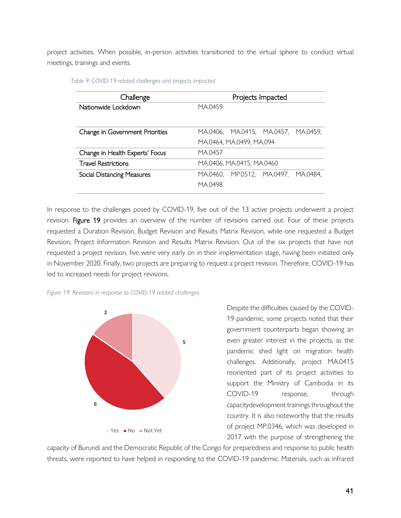project activities. When possible, in-person activities transitioned to the virtual sphere to conduct virtual meetings, trainings and events.

| Challenge                         | Projects Impacted                         |
|-----------------------------------|-------------------------------------------|
| Nationwide Lockdown               | MA.0459                                   |
|                                   |                                           |
|                                   |                                           |
| Change in Government Priorities   | MA.0406, MA.0415, MA.0457, MA.0459,       |
|                                   | MA.0464, MA.0499, MA.094                  |
| Change in Health Experts' Focus   | MA.0457                                   |
| <b>Travel Restrictions</b>        | MA.0406, MA.0415, MA.0460                 |
| <b>Social Distancing Measures</b> | MP.0512, MA.0497,<br>MA.0484.<br>MA.0460. |
|                                   | MA.0498                                   |
|                                   |                                           |

*Table 9: COVID-19-related challenges and projects impacted*

In response to the challenges posed by COVID-19, five out of the 13 active projects underwent a project revision. Figure 19 provides an overview of the number of revisions carried out. Four of these projects requested a Duration Revision, Budget Revision and Results Matrix Revision, while one requested a Budget Revision, Project Information Revision and Results Matrix Revision. Out of the six projects that have not requested a project revision, five were very early on in their implementation stage, having been initiated only in November 2020. Finally, two projects are preparing to request a project revision. Therefore, COVID-19 has led to increased needs for project revisions.





Despite the difficulties caused by the COVID-19 pandemic, some projects noted that their government counterparts began showing an even greater interest in the projects, as the pandemic shed light on migration health challenges. Additionally, project MA.0415 reoriented part of its project activities to support the Ministry of Cambodia in its COVID-19 response, through capacitydevelopment trainings throughout the country. It is also noteworthy that the results of project MP.0346, which was developed in 2017 with the purpose of strengthening the

capacity of Burundi and the Democratic Republic of the Congo for preparedness and response to public health threats, were reported to have helped in responding to the COVID-19 pandemic. Materials, such as infrared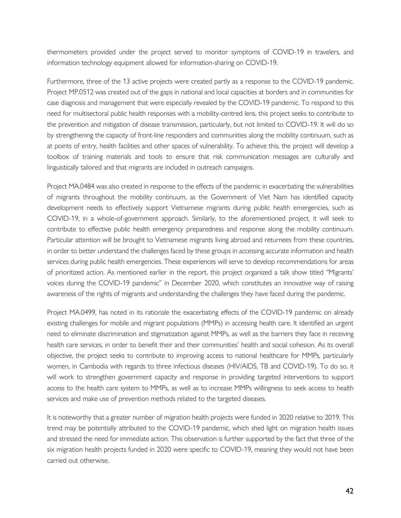thermometers provided under the project served to monitor symptoms of COVID-19 in travelers, and information technology equipment allowed for information-sharing on COVID-19.

Furthermore, three of the 13 active projects were created partly as a response to the COVID-19 pandemic. Project MP.0512 was created out of the gaps in national and local capacities at borders and in communities for case diagnosis and management that were especially revealed by the COVID-19 pandemic. To respond to this need for multisectoral public health responses with a mobility-centred lens, this project seeks to contribute to the prevention and mitigation of disease transmission, particularly, but not limited to COVID-19. It will do so by strengthening the capacity of front-line responders and communities along the mobility continuum, such as at points of entry, health facilities and other spaces of vulnerability. To achieve this, the project will develop a toolbox of training materials and tools to ensure that risk communication messages are culturally and linguistically tailored and that migrants are included in outreach campaigns.

Project MA.0484 was also created in response to the effects of the pandemic in exacerbating the vulnerabilities of migrants throughout the mobility continuum, as the Government of Viet Nam has identified capacity development needs to effectively support Vietnamese migrants during public health emergencies, such as COVID-19, in a whole-of-government approach. Similarly, to the aforementioned project, it will seek to contribute to effective public health emergency preparedness and response along the mobility continuum. Particular attention will be brought to Vietnamese migrants living abroad and returnees from these countries, in order to better understand the challenges faced by these groups in accessing accurate information and health services during public health emergencies. These experiences will serve to develop recommendations for areas of prioritized action. As mentioned earlier in the report, this project organized a talk show titled "Migrants' voices during the COVID-19 pandemic" in December 2020, which constitutes an innovative way of raising awareness of the rights of migrants and understanding the challenges they have faced during the pandemic.

Project MA.0499, has noted in its rationale the exacerbating effects of the COVID-19 pandemic on already existing challenges for mobile and migrant populations (MMPs) in accessing health care. It identified an urgent need to eliminate discrimination and stigmatization against MMPs, as well as the barriers they face in receiving health care services, in order to benefit their and their communities' health and social cohesion. As its overall objective, the project seeks to contribute to improving access to national healthcare for MMPs, particularly women, in Cambodia with regards to three infectious diseases (HIV/AIDS, TB and COVID-19). To do so, it will work to strengthen government capacity and response in providing targeted interventions to support access to the health care system to MMPs, as well as to increase MMPs willingness to seek access to health services and make use of prevention methods related to the targeted diseases.

It is noteworthy that a greater number of migration health projects were funded in 2020 relative to 2019. This trend may be potentially attributed to the COVID-19 pandemic, which shed light on migration health issues and stressed the need for immediate action. This observation is further supported by the fact that three of the six migration health projects funded in 2020 were specific to COVID-19, meaning they would not have been carried out otherwise.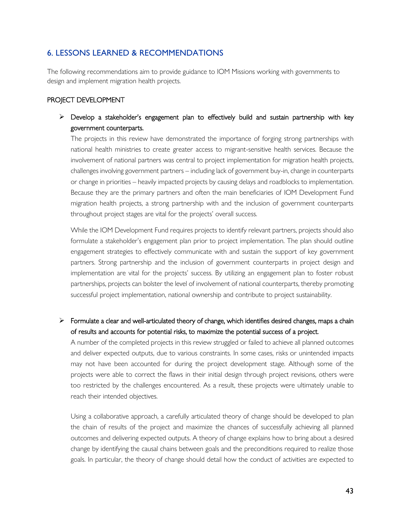# <span id="page-42-0"></span>6. LESSONS LEARNED & RECOMMENDATIONS

The following recommendations aim to provide guidance to IOM Missions working with governments to design and implement migration health projects.

#### PROJECT DEVELOPMENT

# $\triangleright$  Develop a stakeholder's engagement plan to effectively build and sustain partnership with key government counterparts.

The projects in this review have demonstrated the importance of forging strong partnerships with national health ministries to create greater access to migrant-sensitive health services. Because the involvement of national partners was central to project implementation for migration health projects, challenges involving government partners – including lack of government buy-in, change in counterparts or change in priorities – heavily impacted projects by causing delays and roadblocks to implementation. Because they are the primary partners and often the main beneficiaries of IOM Development Fund migration health projects, a strong partnership with and the inclusion of government counterparts throughout project stages are vital for the projects' overall success.

While the IOM Development Fund requires projects to identify relevant partners, projects should also formulate a stakeholder's engagement plan prior to project implementation. The plan should outline engagement strategies to effectively communicate with and sustain the support of key government partners. Strong partnership and the inclusion of government counterparts in project design and implementation are vital for the projects' success. By utilizing an engagement plan to foster robust partnerships, projects can bolster the level of involvement of national counterparts, thereby promoting successful project implementation, national ownership and contribute to project sustainability.

# $\triangleright$  Formulate a clear and well-articulated theory of change, which identifies desired changes, maps a chain of results and accounts for potential risks, to maximize the potential success of a project.

A number of the completed projects in this review struggled or failed to achieve all planned outcomes and deliver expected outputs, due to various constraints. In some cases, risks or unintended impacts may not have been accounted for during the project development stage. Although some of the projects were able to correct the flaws in their initial design through project revisions, others were too restricted by the challenges encountered. As a result, these projects were ultimately unable to reach their intended objectives.

Using a collaborative approach, a carefully articulated theory of change should be developed to plan the chain of results of the project and maximize the chances of successfully achieving all planned outcomes and delivering expected outputs. A theory of change explains how to bring about a desired change by identifying the causal chains between goals and the preconditions required to realize those goals. In particular, the theory of change should detail how the conduct of activities are expected to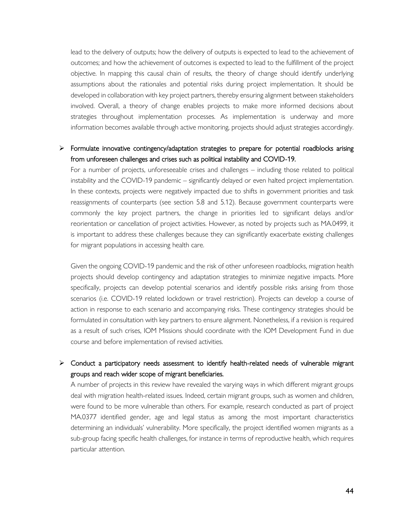lead to the delivery of outputs; how the delivery of outputs is expected to lead to the achievement of outcomes; and how the achievement of outcomes is expected to lead to the fulfillment of the project objective. In mapping this causal chain of results, the theory of change should identify underlying assumptions about the rationales and potential risks during project implementation. It should be developed in collaboration with key project partners, thereby ensuring alignment between stakeholders involved. Overall, a theory of change enables projects to make more informed decisions about strategies throughout implementation processes. As implementation is underway and more information becomes available through active monitoring, projects should adjust strategies accordingly.

# ➢ Formulate innovative contingency/adaptation strategies to prepare for potential roadblocks arising from unforeseen challenges and crises such as political instability and COVID-19.

For a number of projects, unforeseeable crises and challenges – including those related to political instability and the COVID-19 pandemic – significantly delayed or even halted project implementation. In these contexts, projects were negatively impacted due to shifts in government priorities and task reassignments of counterparts (see section 5.8 and 5.12). Because government counterparts were commonly the key project partners, the change in priorities led to significant delays and/or reorientation or cancellation of project activities. However, as noted by projects such as MA.0499, it is important to address these challenges because they can significantly exacerbate existing challenges for migrant populations in accessing health care.

Given the ongoing COVID-19 pandemic and the risk of other unforeseen roadblocks, migration health projects should develop contingency and adaptation strategies to minimize negative impacts. More specifically, projects can develop potential scenarios and identify possible risks arising from those scenarios (i.e. COVID-19 related lockdown or travel restriction). Projects can develop a course of action in response to each scenario and accompanying risks. These contingency strategies should be formulated in consultation with key partners to ensure alignment. Nonetheless, if a revision is required as a result of such crises, IOM Missions should coordinate with the IOM Development Fund in due course and before implementation of revised activities.

# ➢ Conduct a participatory needs assessment to identify health-related needs of vulnerable migrant groups and reach wider scope of migrant beneficiaries.

A number of projects in this review have revealed the varying ways in which different migrant groups deal with migration health-related issues. Indeed, certain migrant groups, such as women and children, were found to be more vulnerable than others. For example, research conducted as part of project MA.0377 identified gender, age and legal status as among the most important characteristics determining an individuals' vulnerability. More specifically, the project identified women migrants as a sub-group facing specific health challenges, for instance in terms of reproductive health, which requires particular attention.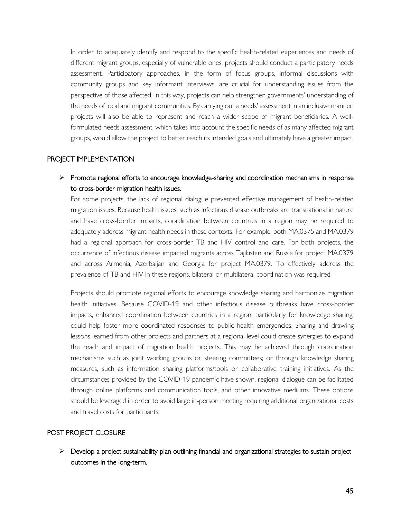In order to adequately identify and respond to the specific health-related experiences and needs of different migrant groups, especially of vulnerable ones, projects should conduct a participatory needs assessment. Participatory approaches, in the form of focus groups, informal discussions with community groups and key informant interviews, are crucial for understanding issues from the perspective of those affected. In this way, projects can help strengthen governments' understanding of the needs of local and migrant communities. By carrying out a needs' assessment in an inclusive manner, projects will also be able to represent and reach a wider scope of migrant beneficiaries. A wellformulated needs assessment, which takes into account the specific needs of as many affected migrant groups, would allow the project to better reach its intended goals and ultimately have a greater impact.

#### PROJECT IMPLEMENTATION

➢ Promote regional efforts to encourage knowledge-sharing and coordination mechanisms in response to cross-border migration health issues.

For some projects, the lack of regional dialogue prevented effective management of health-related migration issues. Because health issues, such as infectious disease outbreaks are transnational in nature and have cross-border impacts, coordination between countries in a region may be required to adequately address migrant health needs in these contexts. For example, both MA.0375 and MA.0379 had a regional approach for cross-border TB and HIV control and care. For both projects, the occurrence of infectious disease impacted migrants across Tajikistan and Russia for project MA.0379 and across Armenia, Azerbaijan and Georgia for project MA.0379. To effectively address the prevalence of TB and HIV in these regions, bilateral or multilateral coordination was required.

Projects should promote regional efforts to encourage knowledge sharing and harmonize migration health initiatives. Because COVID-19 and other infectious disease outbreaks have cross-border impacts, enhanced coordination between countries in a region, particularly for knowledge sharing, could help foster more coordinated responses to public health emergencies. Sharing and drawing lessons learned from other projects and partners at a regional level could create synergies to expand the reach and impact of migration health projects. This may be achieved through coordination mechanisms such as joint working groups or steering committees; or through knowledge sharing measures, such as information sharing platforms/tools or collaborative training initiatives. As the circumstances provided by the COVID-19 pandemic have shown, regional dialogue can be facilitated through online platforms and communication tools, and other innovative mediums. These options should be leveraged in order to avoid large in-person meeting requiring additional organizational costs and travel costs for participants.

#### POST PROJECT CLOSURE

 $\triangleright$  Develop a project sustainability plan outlining financial and organizational strategies to sustain project outcomes in the long-term.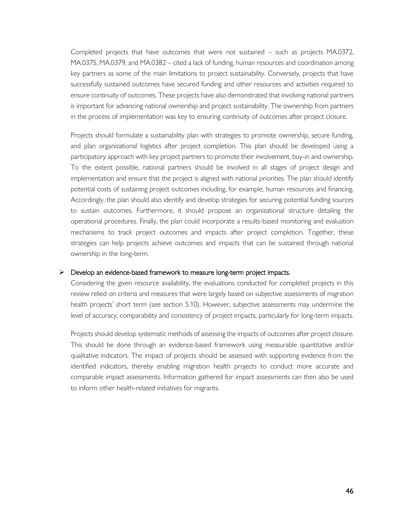Completed projects that have outcomes that were not sustained – such as projects MA.0372, MA.0375, MA.0379, and MA.0382 – cited a lack of funding, human resources and coordination among key partners as some of the main limitations to project sustainability. Conversely, projects that have successfully sustained outcomes have secured funding and other resources and activities required to ensure continuity of outcomes. These projects have also demonstrated that involving national partners is important for advancing national ownership and project sustainability. The ownership from partners in the process of implementation was key to ensuring continuity of outcomes after project closure.

Projects should formulate a sustainability plan with strategies to promote ownership, secure funding, and plan organizational logistics after project completion. This plan should be developed using a participatory approach with key project partners to promote their involvement, buy-in and ownership. To the extent possible, national partners should be involved in all stages of project design and implementation and ensure that the project is aligned with national priorities. The plan should identify potential costs of sustaining project outcomes including, for example, human resources and financing. Accordingly, the plan should also identify and develop strategies for securing potential funding sources to sustain outcomes. Furthermore, it should propose an organizational structure detailing the operational procedures. Finally, the plan could incorporate a results-based monitoring and evaluation mechanisms to track project outcomes and impacts after project completion. Together, these strategies can help projects achieve outcomes and impacts that can be sustained through national ownership in the long-term.

#### $\triangleright$  Develop an evidence-based framework to measure long-term project impacts.

Considering the given resource availability, the evaluations conducted for completed projects in this review relied on criteria and measures that were largely based on subjective assessments of migration health projects' short term (see section 5.10). However, subjective assessments may undermine the level of accuracy, comparability and consistency of project impacts, particularly for long-term impacts.

Projects should develop systematic methods of assessing the impacts of outcomes after project closure. This should be done through an evidence-based framework using measurable quantitative and/or qualitative indicators. The impact of projects should be assessed with supporting evidence from the identified indicators, thereby enabling migration health projects to conduct more accurate and comparable impact assessments. Information gathered for impact assessments can then also be used to inform other health-related initiatives for migrants.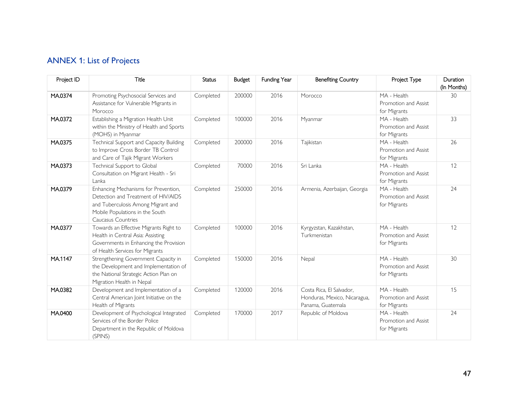# ANNEX 1: List of Projects

<span id="page-46-0"></span>

| Project ID | Title                                                                                                                                                                      | <b>Status</b> | <b>Budget</b> | Funding Year | <b>Benefiting Country</b>                                                     | Project Type                                        | Duration<br>(In Months) |
|------------|----------------------------------------------------------------------------------------------------------------------------------------------------------------------------|---------------|---------------|--------------|-------------------------------------------------------------------------------|-----------------------------------------------------|-------------------------|
| MA.0374    | Promoting Psychosocial Services and<br>Assistance for Vulnerable Migrants in<br>Morocco                                                                                    | Completed     | 200000        | 2016         | Morocco                                                                       | MA - Health<br>Promotion and Assist<br>for Migrants | 30                      |
| MA.0372    | Establishing a Migration Health Unit<br>within the Ministry of Health and Sports<br>(MOHS) in Myanmar                                                                      | Completed     | 100000        | 2016         | Myanmar                                                                       | MA - Health<br>Promotion and Assist<br>for Migrants | 33                      |
| MA.0375    | Technical Support and Capacity Building<br>to Improve Cross Border TB Control<br>and Care of Tajik Migrant Workers                                                         | Completed     | 200000        | 2016         | Tajikistan                                                                    | MA - Health<br>Promotion and Assist<br>for Migrants | 26                      |
| MA.0373    | Technical Support to Global<br>Consultation on Migrant Health - Sri<br>Lanka                                                                                               | Completed     | 70000         | 2016         | Sri Lanka                                                                     | MA - Health<br>Promotion and Assist<br>for Migrants | 12                      |
| MA.0379    | Enhancing Mechanisms for Prevention,<br>Detection and Treatment of HIV/AIDS<br>and Tuberculosis Among Migrant and<br>Mobile Populations in the South<br>Caucasus Countries | Completed     | 250000        | 2016         | Armenia, Azerbaijan, Georgia                                                  | MA - Health<br>Promotion and Assist<br>for Migrants | 24                      |
| MA.0377    | Towards an Effective Migrants Right to<br>Health in Central Asia: Assisting<br>Governments in Enhancing the Provision<br>of Health Services for Migrants                   | Completed     | 100000        | 2016         | Kyrgyzstan, Kazakhstan,<br>Turkmenistan                                       | MA - Health<br>Promotion and Assist<br>for Migrants | 12                      |
| MA.1147    | Strengthening Government Capacity in<br>the Development and Implementation of<br>the National Strategic Action Plan on<br>Migration Health in Nepal                        | Completed     | 150000        | 2016         | Nepal                                                                         | MA - Health<br>Promotion and Assist<br>for Migrants | 30                      |
| MA.0382    | Development and Implementation of a<br>Central American Joint Initiative on the<br>Health of Migrants                                                                      | Completed     | 120000        | 2016         | Costa Rica, El Salvador,<br>Honduras, Mexico, Nicaragua,<br>Panama, Guatemala | MA - Health<br>Promotion and Assist<br>for Migrants | 15                      |
| MA.0400    | Development of Psychological Integrated<br>Services of the Border Police<br>Department in the Republic of Moldova<br>(SPINS)                                               | Completed     | 170000        | 2017         | Republic of Moldova                                                           | MA - Health<br>Promotion and Assist<br>for Migrants | 24                      |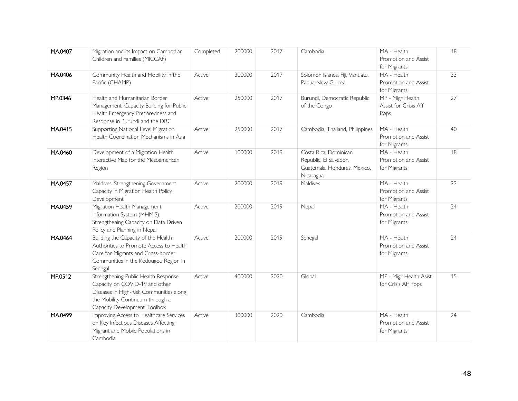| MA.0407 | Migration and its Impact on Cambodian<br>Children and Families (MICCAF)                                                                                                               | Completed | 200000 | 2017 | Cambodia                                                                                     | MA - Health<br>Promotion and Assist<br>for Migrants | 18 |
|---------|---------------------------------------------------------------------------------------------------------------------------------------------------------------------------------------|-----------|--------|------|----------------------------------------------------------------------------------------------|-----------------------------------------------------|----|
| MA.0406 | Community Health and Mobility in the<br>Pacific (CHAMP)                                                                                                                               | Active    | 300000 | 2017 | Solomon Islands, Fiji, Vanuatu,<br>Papua New Guinea                                          | MA - Health<br>Promotion and Assist<br>for Migrants | 33 |
| MP.0346 | Health and Humanitarian Border<br>Management: Capacity Building for Public<br>Health Emergency Preparedness and<br>Response in Burundi and the DRC                                    | Active    | 250000 | 2017 | Burundi, Democratic Republic<br>of the Congo                                                 | MP - Migr Health<br>Assist for Crisis Aff<br>Pops   | 27 |
| MA.0415 | Supporting National Level Migration<br>Health Coordination Mechanisms in Asia                                                                                                         | Active    | 250000 | 2017 | Cambodia, Thailand, Philippines                                                              | MA - Health<br>Promotion and Assist<br>for Migrants | 40 |
| MA.0460 | Development of a Migration Health<br>Interactive Map for the Mesoamerican<br>Region                                                                                                   | Active    | 100000 | 2019 | Costa Rica, Dominican<br>Republic, El Salvador,<br>Guatemala, Honduras, Mexico,<br>Nicaragua | MA - Health<br>Promotion and Assist<br>for Migrants | 18 |
| MA.0457 | Maldives: Strengthening Government<br>Capacity in Migration Health Policy<br>Development                                                                                              | Active    | 200000 | 2019 | Maldives                                                                                     | MA - Health<br>Promotion and Assist<br>for Migrants | 22 |
| MA.0459 | Migration Health Management<br>Information System (MHMIS):<br>Strengthening Capacity on Data Driven<br>Policy and Planning in Nepal                                                   | Active    | 200000 | 2019 | Nepal                                                                                        | MA - Health<br>Promotion and Assist<br>for Migrants | 24 |
| MA.0464 | Building the Capacity of the Health<br>Authorities to Promote Access to Health<br>Care for Migrants and Cross-border<br>Communities in the Kédougou Region in<br>Senegal              | Active    | 200000 | 2019 | Senegal                                                                                      | MA - Health<br>Promotion and Assist<br>for Migrants | 24 |
| MP.0512 | Strengthening Public Health Response<br>Capacity on COVID-19 and other<br>Diseases in High-Risk Communities along<br>the Mobility Continuum through a<br>Capacity Development Toolbox | Active    | 400000 | 2020 | Global                                                                                       | MP - Migr Health Asist<br>for Crisis Aff Pops       | 15 |
| MA.0499 | Improving Access to Healthcare Services<br>on Key Infectious Diseases Affecting<br>Migrant and Mobile Populations in<br>Cambodia                                                      | Active    | 300000 | 2020 | Cambodia                                                                                     | MA - Health<br>Promotion and Assist<br>for Migrants | 24 |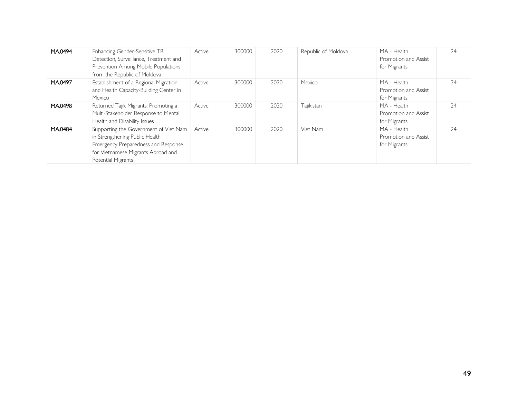| MA.0494 | Enhancing Gender-Sensitive TB<br>Detection, Surveillance, Treatment and<br>Prevention Among Mobile Populations<br>from the Republic of Moldova                             | Active | 300000 | 2020 | Republic of Moldova | MA - Health<br>Promotion and Assist<br>for Migrants | 24 |
|---------|----------------------------------------------------------------------------------------------------------------------------------------------------------------------------|--------|--------|------|---------------------|-----------------------------------------------------|----|
| MA.0497 | Establishment of a Regional Migration<br>and Health Capacity-Building Center in<br>Mexico                                                                                  | Active | 300000 | 2020 | Mexico              | MA - Health<br>Promotion and Assist<br>for Migrants | 24 |
| MA.0498 | Returned Tajik Migrants: Promoting a<br>Multi-Stakeholder Response to Mental<br>Health and Disability Issues                                                               | Active | 300000 | 2020 | Tajikistan          | MA - Health<br>Promotion and Assist<br>for Migrants | 24 |
| MA.0484 | Supporting the Government of Viet Nam<br>in Strengthening Public Health<br>Emergency Preparedness and Response<br>for Vietnamese Migrants Abroad and<br>Potential Migrants | Active | 300000 | 2020 | Viet Nam            | MA - Health<br>Promotion and Assist<br>for Migrants | 24 |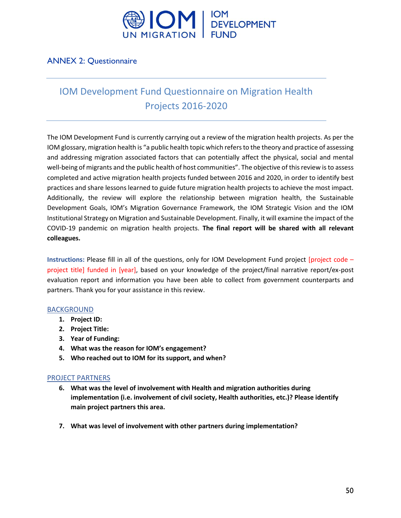

# <span id="page-49-0"></span>ANNEX 2: Questionnaire

# IOM Development Fund Questionnaire on Migration Health Projects 2016-2020

The IOM Development Fund is currently carrying out a review of the migration health projects. As per the IOM glossary, migration health is "a public health topic which refers to the theory and practice of assessing and addressing migration associated factors that can potentially affect the physical, social and mental well-being of migrants and the public health of host communities". The objective of this review is to assess completed and active migration health projects funded between 2016 and 2020, in order to identify best practices and share lessons learned to guide future migration health projects to achieve the most impact. Additionally, the review will explore the relationship between migration health, the Sustainable Development Goals, IOM's Migration Governance Framework, the IOM Strategic Vision and the IOM Institutional Strategy on Migration and Sustainable Development. Finally, it will examine the impact of the COVID-19 pandemic on migration health projects. **The final report will be shared with all relevant colleagues.**

**Instructions:** Please fill in all of the questions, only for IOM Development Fund project [project code – project title] funded in [year], based on your knowledge of the project/final narrative report/ex-post evaluation report and information you have been able to collect from government counterparts and partners. Thank you for your assistance in this review.

#### **BACKGROUND**

- **1. Project ID:**
- **2. Project Title:**
- **3. Year of Funding:**
- **4. What was the reason for IOM's engagement?**
- **5. Who reached out to IOM for its support, and when?**

#### PROJECT PARTNERS

- **6. What was the level of involvement with Health and migration authorities during implementation (i.e. involvement of civil society, Health authorities, etc.)? Please identify main project partners this area.**
- **7. What was level of involvement with other partners during implementation?**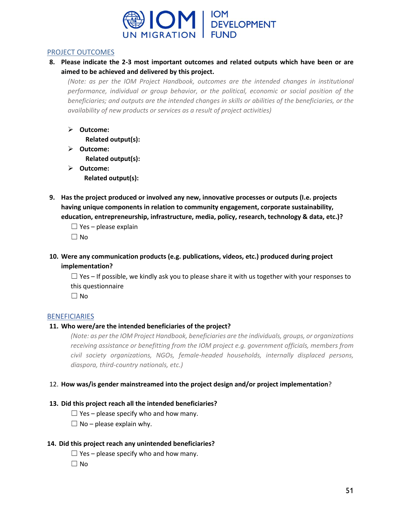

#### PROJECT OUTCOMES

**8. Please indicate the 2-3 most important outcomes and related outputs which have been or are aimed to be achieved and delivered by this project.** 

*(Note: as per the IOM Project Handbook, outcomes are the intended changes in institutional performance, individual or group behavior, or the political, economic or social position of the beneficiaries; and outputs are the intended changes in skills or abilities of the beneficiaries, or the availability of new products or services as a result of project activities)*

➢ **Outcome:**

**Related output(s):**

- ➢ **Outcome: Related output(s):**
- ➢ **Outcome: Related output(s):**
- **9. Has the project produced or involved any new, innovative processes or outputs (I.e. projects having unique components in relation to community engagement, corporate sustainability, education, entrepreneurship, infrastructure, media, policy, research, technology & data, etc.)?**
	- $\Box$  Yes please explain

☐ No

**10. Were any communication products (e.g. publications, videos, etc.) produced during project implementation?**

 $\Box$  Yes – If possible, we kindly ask you to please share it with us together with your responses to this questionnaire

 $\Box$  No

#### **BENEFICIARIES**

#### **11. Who were/are the intended beneficiaries of the project?**

*(Note: as per the IOM Project Handbook, beneficiaries are the individuals, groups, or organizations receiving assistance or benefitting from the IOM project e.g. government officials, members from civil society organizations, NGOs, female-headed households, internally displaced persons, diaspora, third-country nationals, etc.)*

#### 12. **How was/is gender mainstreamed into the project design and/or project implementation**?

#### **13. Did this project reach all the intended beneficiaries?**

- $\Box$  Yes please specify who and how many.
- $\Box$  No please explain why.

#### **14. Did this project reach any unintended beneficiaries?**

- $\Box$  Yes please specify who and how many.
- $\Box$  No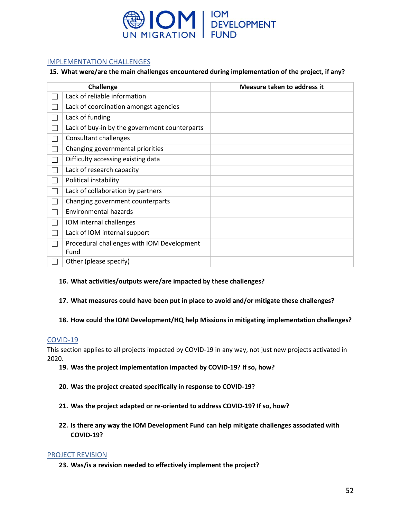

#### IMPLEMENTATION CHALLENGES

#### **15. What were/are the main challenges encountered during implementation of the project, if any?**

|              | <b>Challenge</b>                                   | Measure taken to address it |
|--------------|----------------------------------------------------|-----------------------------|
| L            | Lack of reliable information                       |                             |
| L            | Lack of coordination amongst agencies              |                             |
| Г            | Lack of funding                                    |                             |
| $\mathbf{L}$ | Lack of buy-in by the government counterparts      |                             |
|              | <b>Consultant challenges</b>                       |                             |
| $\mathbf{I}$ | Changing governmental priorities                   |                             |
| L            | Difficulty accessing existing data                 |                             |
| L            | Lack of research capacity                          |                             |
| $\mathbf{L}$ | Political instability                              |                             |
| L            | Lack of collaboration by partners                  |                             |
| L            | Changing government counterparts                   |                             |
| L            | Environmental hazards                              |                             |
| $\mathbf{L}$ | IOM internal challenges                            |                             |
| $\mathbf{I}$ | Lack of IOM internal support                       |                             |
| L            | Procedural challenges with IOM Development<br>Fund |                             |
|              | Other (please specify)                             |                             |

#### **16. What activities/outputs were/are impacted by these challenges?**

#### **17. What measures could have been put in place to avoid and/or mitigate these challenges?**

#### **18. How could the IOM Development/HQ help Missions in mitigating implementation challenges?**

#### COVID-19

This section applies to all projects impacted by COVID-19 in any way, not just new projects activated in 2020.

- **19. Was the project implementation impacted by COVID-19? If so, how?**
- **20. Was the project created specifically in response to COVID-19?**
- **21. Was the project adapted or re-oriented to address COVID-19? If so, how?**
- **22. Is there any way the IOM Development Fund can help mitigate challenges associated with COVID-19?**

#### PROJECT REVISION

**23. Was/is a revision needed to effectively implement the project?**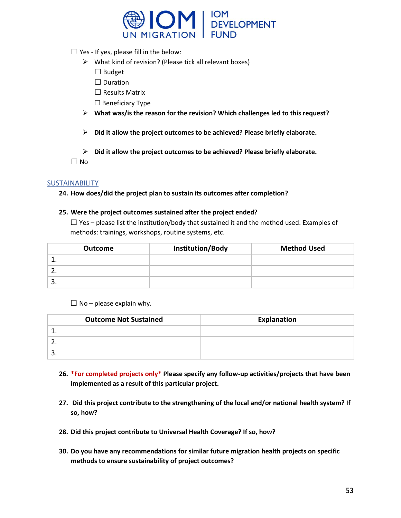

 $\Box$  Yes - If yes, please fill in the below:

- ➢ What kind of revision? (Please tick all relevant boxes)
	- ☐ Budget
	- □ Duration
	- ☐ Results Matrix
	- ☐ Beneficiary Type
- ➢ **What was/is the reason for the revision? Which challenges led to this request?**
- ➢ **Did it allow the project outcomes to be achieved? Please briefly elaborate.**
- ➢ **Did it allow the project outcomes to be achieved? Please briefly elaborate.**

 $\Box$  No

#### SUSTAINABILITY

**24. How does/did the project plan to sustain its outcomes after completion?**

#### **25. Were the project outcomes sustained after the project ended?**

 $\Box$  Yes – please list the institution/body that sustained it and the method used. Examples of methods: trainings, workshops, routine systems, etc.

| <b>Outcome</b> | Institution/Body | <b>Method Used</b> |
|----------------|------------------|--------------------|
| <u>. .</u>     |                  |                    |
|                |                  |                    |
| ، ب            |                  |                    |

 $\Box$  No – please explain why.

| <b>Outcome Not Sustained</b> | Explanation |
|------------------------------|-------------|
|                              |             |
|                              |             |
| .                            |             |

- **26. \*For completed projects only\* Please specify any follow-up activities/projects that have been implemented as a result of this particular project.**
- **27. Did this project contribute to the strengthening of the local and/or national health system? If so, how?**
- **28. Did this project contribute to Universal Health Coverage? If so, how?**
- **30. Do you have any recommendations for similar future migration health projects on specific methods to ensure sustainability of project outcomes?**